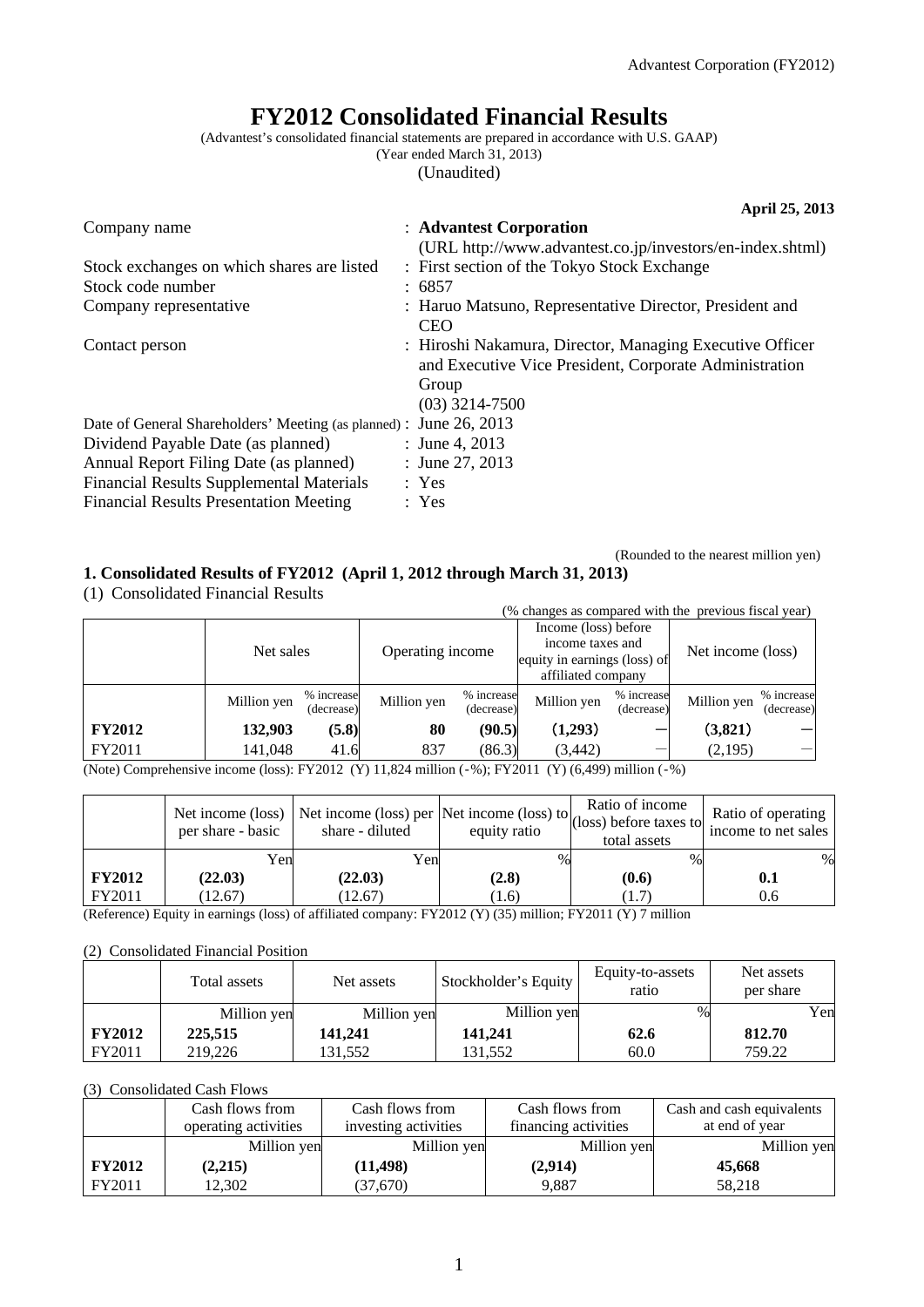# **FY2012 Consolidated Financial Results**

(Advantest's consolidated financial statements are prepared in accordance with U.S. GAAP)

(Year ended March 31, 2013)

(Unaudited)

|                                                                    | April 25, 2013                                            |
|--------------------------------------------------------------------|-----------------------------------------------------------|
| Company name                                                       | : Advantest Corporation                                   |
|                                                                    | (URL http://www.advantest.co.jp/investors/en-index.shtml) |
| Stock exchanges on which shares are listed                         | : First section of the Tokyo Stock Exchange               |
| Stock code number                                                  | : 6857                                                    |
| Company representative                                             | : Haruo Matsuno, Representative Director, President and   |
|                                                                    | <b>CEO</b>                                                |
| Contact person                                                     | : Hiroshi Nakamura, Director, Managing Executive Officer  |
|                                                                    | and Executive Vice President, Corporate Administration    |
|                                                                    | Group                                                     |
|                                                                    | $(03)$ 3214-7500                                          |
| Date of General Shareholders' Meeting (as planned) : June 26, 2013 |                                                           |
| Dividend Payable Date (as planned)                                 | : June 4, 2013                                            |
| Annual Report Filing Date (as planned)                             | : June 27, 2013                                           |
| <b>Financial Results Supplemental Materials</b>                    | : Yes                                                     |
| <b>Financial Results Presentation Meeting</b>                      | : Yes                                                     |

(Rounded to the nearest million yen)

**1. Consolidated Results of FY2012 (April 1, 2012 through March 31, 2013)** 

(1) Consolidated Financial Results

| $(1)$ compondence I maneral reports |             |                          |                  |                          |                                                                                                |                          |                   |                          |
|-------------------------------------|-------------|--------------------------|------------------|--------------------------|------------------------------------------------------------------------------------------------|--------------------------|-------------------|--------------------------|
|                                     |             |                          |                  |                          | (% changes as compared with the previous fiscal year)                                          |                          |                   |                          |
|                                     | Net sales   |                          | Operating income |                          | Income (loss) before<br>income taxes and<br>equity in earnings (loss) of<br>affiliated company |                          | Net income (loss) |                          |
|                                     | Million yen | % increase<br>(decrease) | Million yen      | % increase<br>(decrease) | Million yen                                                                                    | % increase<br>(decrease) | Million yen       | % increase<br>(decrease) |
| <b>FY2012</b>                       | 132,903     | (5.8)                    | 80               | (90.5)                   | (1,293)                                                                                        |                          | (3,821)           |                          |
| FY2011                              | 141,048     | 41.6                     | 837              | (86.3)                   | (3, 442)                                                                                       |                          | (2,195)           |                          |
| $-1$                                |             |                          |                  |                          |                                                                                                |                          |                   |                          |

(Note) Comprehensive income (loss): FY2012 (Y) 11,824 million (‐%); FY2011 (Y) (6,499) million (‐%)

|               | Net income (loss)<br>per share - basic | ,   Net income (loss) per   Net income (loss) to $\begin{vmatrix} \cos \theta & \cos \theta \\ \cos \theta & \cos \theta \end{vmatrix}$ (Net income (loss) before taxes to $\begin{vmatrix} R^2 & R^3 \end{vmatrix}$<br>share - diluted | equity ratio | Ratio of income<br>total assets | Ratio of operating<br>income to net sales |
|---------------|----------------------------------------|-----------------------------------------------------------------------------------------------------------------------------------------------------------------------------------------------------------------------------------------|--------------|---------------------------------|-------------------------------------------|
|               | Yenl                                   | Yen                                                                                                                                                                                                                                     | %            | $\%$                            | $\%$                                      |
| <b>FY2012</b> | (22.03)                                | (22.03)                                                                                                                                                                                                                                 | (2.8)        | (0.6)                           | 0.1                                       |
| FY2011        | (12.67)                                | (12.67)                                                                                                                                                                                                                                 | (1.6)        | $1.7^{\circ}$                   | 0.6                                       |

(Reference) Equity in earnings (loss) of affiliated company: FY2012 (Y) (35) million; FY2011 (Y) 7 million

#### (2) Consolidated Financial Position

|               | Total assets | Net assets  | Stockholder's Equity | Equity-to-assets<br>ratio | Net assets<br>per share |
|---------------|--------------|-------------|----------------------|---------------------------|-------------------------|
|               | Million yen  | Million yen | Million yen          | $\%$                      | Yen                     |
| <b>FY2012</b> | 225,515      | 141,241     | 141,241              | 62.6                      | 812.70                  |
| FY2011        | 219,226      | 131.552     | 131.552              | 60.0                      | 759.22                  |

#### (3) Consolidated Cash Flows

|               | Cash flows from      | Cash flows from      | Cash flows from      | Cash and cash equivalents |
|---------------|----------------------|----------------------|----------------------|---------------------------|
|               | operating activities | investing activities | financing activities | at end of year            |
|               | Million yen          | Million yen          | Million yen          | Million yen               |
| <b>FY2012</b> | (2,215)              | (11, 498)            | (2,914)              | 45,668                    |
| FY2011        | 12,302               | (37,670)             | 9,887                | 58,218                    |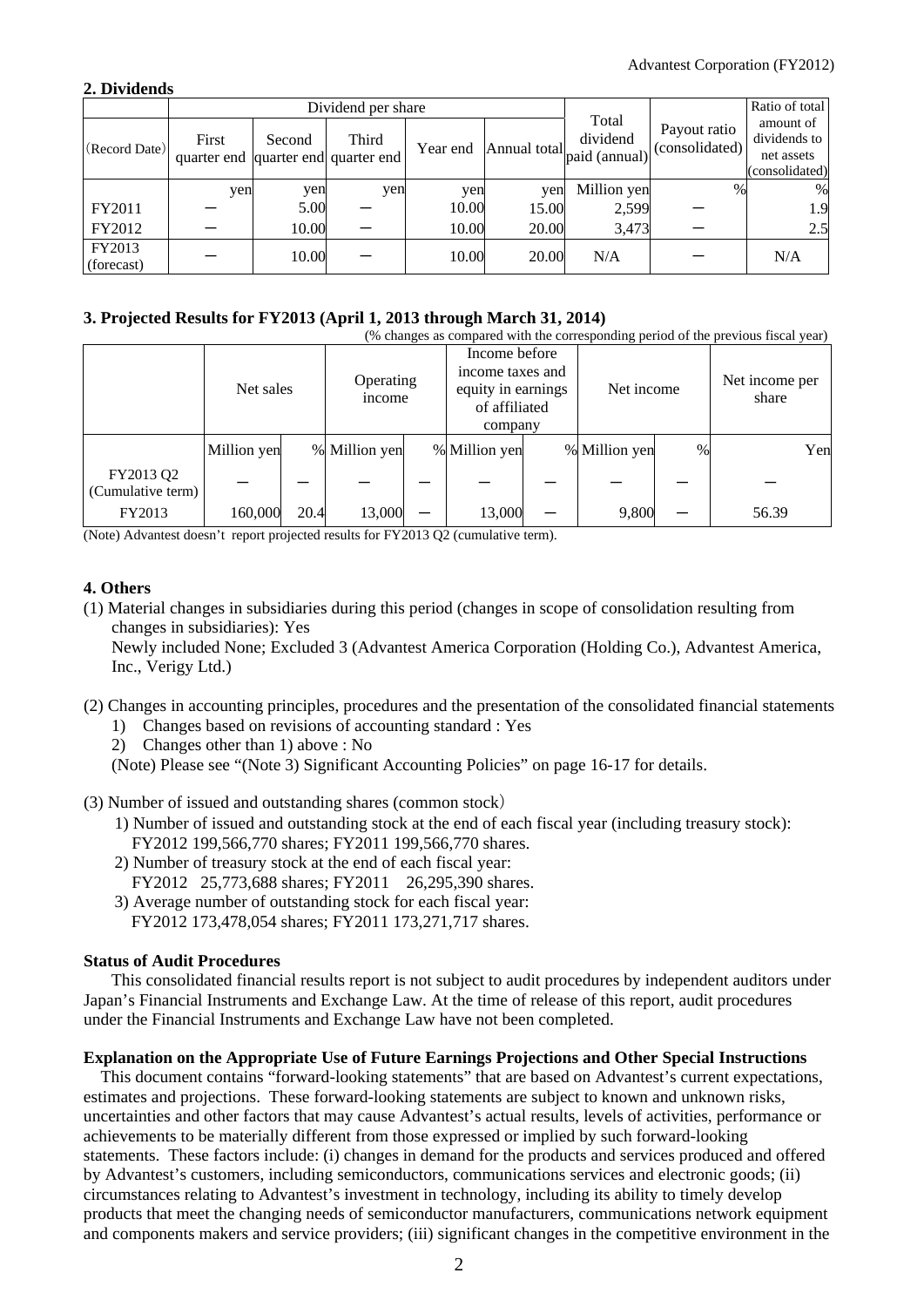## **2. Dividends**

|                      |                                              |        | Dividend per share |          |       | Ratio of total                                              |                                |                                                           |
|----------------------|----------------------------------------------|--------|--------------------|----------|-------|-------------------------------------------------------------|--------------------------------|-----------------------------------------------------------|
| (Record Date)        | First<br>quarter end quarter end quarter end | Second | Third              | Year end |       | Total<br>dividend<br>Annual total $_{\text{paid (annual)}}$ | Payout ratio<br>(consolidated) | amount of<br>dividends to<br>net assets<br>(consolidated) |
|                      | yen                                          | yen    | yen                | yen      | yen   | Million yen                                                 | $\%$                           | %                                                         |
| FY2011               |                                              | 5.00   |                    | 10.00    | 15.00 | 2,599                                                       |                                | 1.9                                                       |
| FY2012               |                                              | 10.00  |                    | 10.00    | 20.00 | 3,473                                                       |                                | 2.5                                                       |
| FY2013<br>(forecast) |                                              | 10.00  |                    | 10.00    | 20.00 | N/A                                                         |                                | N/A                                                       |

## **3. Projected Results for FY2013 (April 1, 2013 through March 31, 2014)**

| (% changes as compared with the corresponding period of the previous fiscal year) |             |      |                     |  |                                                                                     |  |               |      |                         |     |
|-----------------------------------------------------------------------------------|-------------|------|---------------------|--|-------------------------------------------------------------------------------------|--|---------------|------|-------------------------|-----|
|                                                                                   | Net sales   |      | Operating<br>income |  | Income before<br>income taxes and<br>equity in earnings<br>of affiliated<br>company |  | Net income    |      | Net income per<br>share |     |
|                                                                                   | Million yen |      | % Million yen       |  | % Million yen                                                                       |  | % Million yen | $\%$ |                         | Yen |
| FY2013 Q2<br>(Cumulative term)                                                    |             |      |                     |  |                                                                                     |  |               |      |                         |     |
| FY2013                                                                            | 160,000     | 20.4 | 13,000              |  | 13,000                                                                              |  | 9,800         |      | 56.39                   |     |

(Note) Advantest doesn't report projected results for FY2013 Q2 (cumulative term).

# **4. Others**

(1) Material changes in subsidiaries during this period (changes in scope of consolidation resulting from changes in subsidiaries): Yes

Newly included None; Excluded 3 (Advantest America Corporation (Holding Co.), Advantest America, Inc., Verigy Ltd.)

- (2) Changes in accounting principles, procedures and the presentation of the consolidated financial statements
	- 1) Changes based on revisions of accounting standard : Yes
	- 2) Changes other than 1) above : No

(Note) Please see "(Note 3) Significant Accounting Policies" on page 16-17 for details.

- (3) Number of issued and outstanding shares (common stock)
	- 1) Number of issued and outstanding stock at the end of each fiscal year (including treasury stock): FY2012 199,566,770 shares; FY2011 199,566,770 shares.
	- 2) Number of treasury stock at the end of each fiscal year:
	- FY2012 25,773,688 shares; FY2011 26,295,390 shares.
	- 3) Average number of outstanding stock for each fiscal year: FY2012 173,478,054 shares; FY2011 173,271,717 shares.

## **Status of Audit Procedures**

This consolidated financial results report is not subject to audit procedures by independent auditors under Japan's Financial Instruments and Exchange Law. At the time of release of this report, audit procedures under the Financial Instruments and Exchange Law have not been completed.

## **Explanation on the Appropriate Use of Future Earnings Projections and Other Special Instructions**

This document contains "forward-looking statements" that are based on Advantest's current expectations, estimates and projections. These forward-looking statements are subject to known and unknown risks, uncertainties and other factors that may cause Advantest's actual results, levels of activities, performance or achievements to be materially different from those expressed or implied by such forward-looking statements. These factors include: (i) changes in demand for the products and services produced and offered by Advantest's customers, including semiconductors, communications services and electronic goods; (ii) circumstances relating to Advantest's investment in technology, including its ability to timely develop products that meet the changing needs of semiconductor manufacturers, communications network equipment and components makers and service providers; (iii) significant changes in the competitive environment in the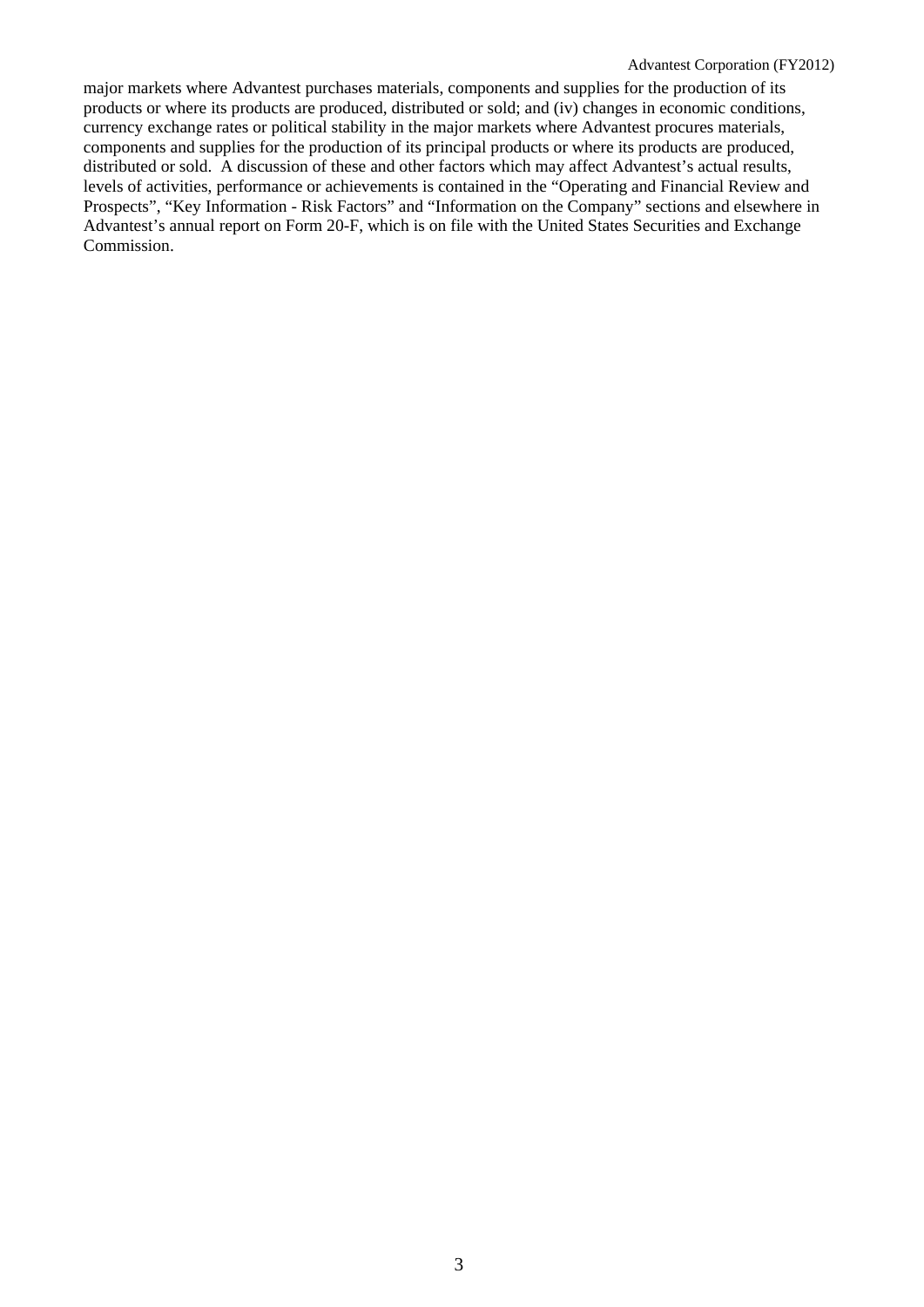major markets where Advantest purchases materials, components and supplies for the production of its products or where its products are produced, distributed or sold; and (iv) changes in economic conditions, currency exchange rates or political stability in the major markets where Advantest procures materials, components and supplies for the production of its principal products or where its products are produced, distributed or sold. A discussion of these and other factors which may affect Advantest's actual results, levels of activities, performance or achievements is contained in the "Operating and Financial Review and Prospects", "Key Information - Risk Factors" and "Information on the Company" sections and elsewhere in Advantest's annual report on Form 20-F, which is on file with the United States Securities and Exchange Commission.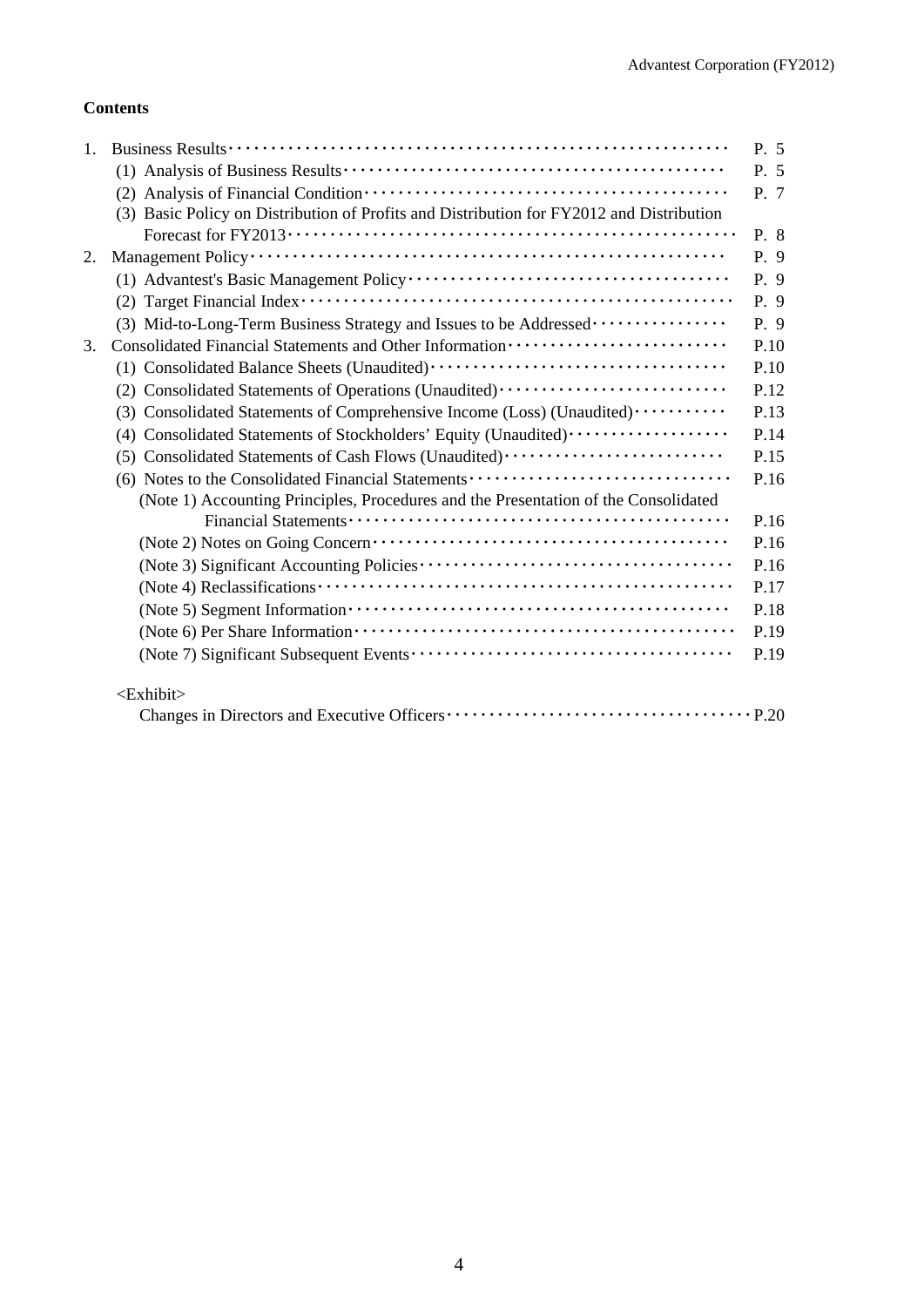# **Contents**

| 1. |                                                                                          | P. 5 |
|----|------------------------------------------------------------------------------------------|------|
|    |                                                                                          | P. 5 |
|    |                                                                                          | P. 7 |
|    | (3) Basic Policy on Distribution of Profits and Distribution for FY2012 and Distribution |      |
|    |                                                                                          | P. 8 |
| 2. |                                                                                          | P. 9 |
|    |                                                                                          | P. 9 |
|    |                                                                                          | P. 9 |
|    | (3) Mid-to-Long-Term Business Strategy and Issues to be Addressed                        | P. 9 |
| 3. | Consolidated Financial Statements and Other Information ·························        | P.10 |
|    |                                                                                          | P.10 |
|    | (2) Consolidated Statements of Operations (Unaudited)                                    | P.12 |
|    | (3) Consolidated Statements of Comprehensive Income (Loss) (Unaudited) ··········        | P.13 |
|    | (4) Consolidated Statements of Stockholders' Equity (Unaudited) ·················        | P.14 |
|    | (5) Consolidated Statements of Cash Flows (Unaudited)                                    | P.15 |
|    | (6) Notes to the Consolidated Financial Statements                                       | P.16 |
|    | (Note 1) Accounting Principles, Procedures and the Presentation of the Consolidated      |      |
|    |                                                                                          | P.16 |
|    |                                                                                          | P.16 |
|    |                                                                                          | P.16 |
|    |                                                                                          | P.17 |
|    |                                                                                          | P.18 |
|    |                                                                                          | P.19 |
|    |                                                                                          | P.19 |
|    | <exhibit></exhibit>                                                                      |      |
|    |                                                                                          |      |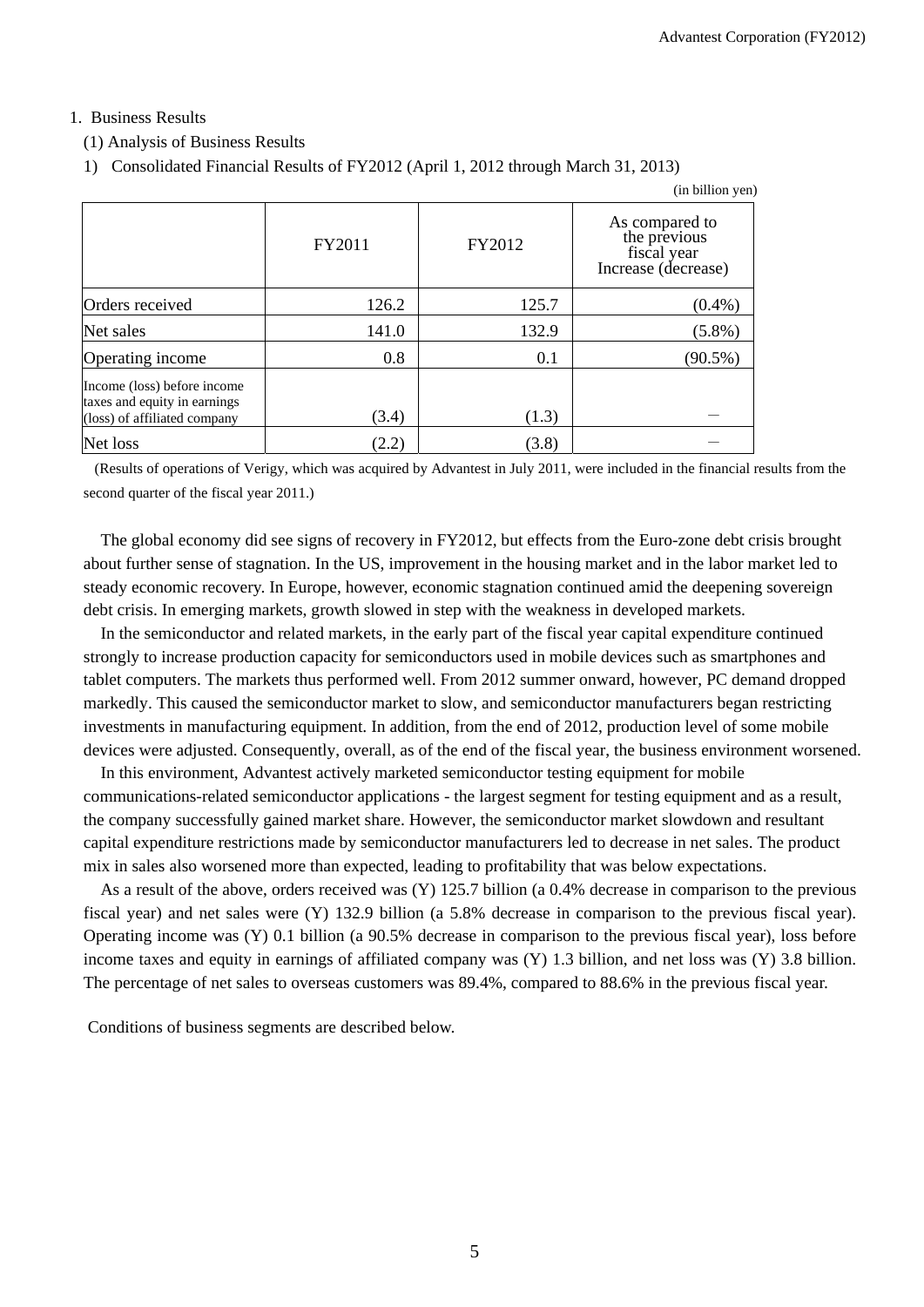# 1. Business Results

# (1) Analysis of Business Results

1) Consolidated Financial Results of FY2012 (April 1, 2012 through March 31, 2013)

|                                                                                             |        |        | (in billion yen)                                                     |
|---------------------------------------------------------------------------------------------|--------|--------|----------------------------------------------------------------------|
|                                                                                             | FY2011 | FY2012 | As compared to<br>the previous<br>fiscal year<br>Increase (decrease) |
| Orders received                                                                             | 126.2  | 125.7  | $(0.4\%)$                                                            |
| Net sales                                                                                   | 141.0  | 132.9  | $(5.8\%)$                                                            |
| Operating income                                                                            | 0.8    | 0.1    | $(90.5\%)$                                                           |
| Income (loss) before income<br>taxes and equity in earnings<br>(loss) of affiliated company | (3.4)  | (1.3)  |                                                                      |
| Net loss                                                                                    | (2.2)  | (3.8)  |                                                                      |

 (Results of operations of Verigy, which was acquired by Advantest in July 2011, were included in the financial results from the second quarter of the fiscal year 2011.)

The global economy did see signs of recovery in FY2012, but effects from the Euro-zone debt crisis brought about further sense of stagnation. In the US, improvement in the housing market and in the labor market led to steady economic recovery. In Europe, however, economic stagnation continued amid the deepening sovereign debt crisis. In emerging markets, growth slowed in step with the weakness in developed markets.

In the semiconductor and related markets, in the early part of the fiscal year capital expenditure continued strongly to increase production capacity for semiconductors used in mobile devices such as smartphones and tablet computers. The markets thus performed well. From 2012 summer onward, however, PC demand dropped markedly. This caused the semiconductor market to slow, and semiconductor manufacturers began restricting investments in manufacturing equipment. In addition, from the end of 2012, production level of some mobile devices were adjusted. Consequently, overall, as of the end of the fiscal year, the business environment worsened.

In this environment, Advantest actively marketed semiconductor testing equipment for mobile communications-related semiconductor applications - the largest segment for testing equipment and as a result, the company successfully gained market share. However, the semiconductor market slowdown and resultant capital expenditure restrictions made by semiconductor manufacturers led to decrease in net sales. The product mix in sales also worsened more than expected, leading to profitability that was below expectations.

As a result of the above, orders received was (Y) 125.7 billion (a 0.4% decrease in comparison to the previous fiscal year) and net sales were (Y) 132.9 billion (a 5.8% decrease in comparison to the previous fiscal year). Operating income was (Y) 0.1 billion (a 90.5% decrease in comparison to the previous fiscal year), loss before income taxes and equity in earnings of affiliated company was (Y) 1.3 billion, and net loss was (Y) 3.8 billion. The percentage of net sales to overseas customers was 89.4%, compared to 88.6% in the previous fiscal year.

Conditions of business segments are described below.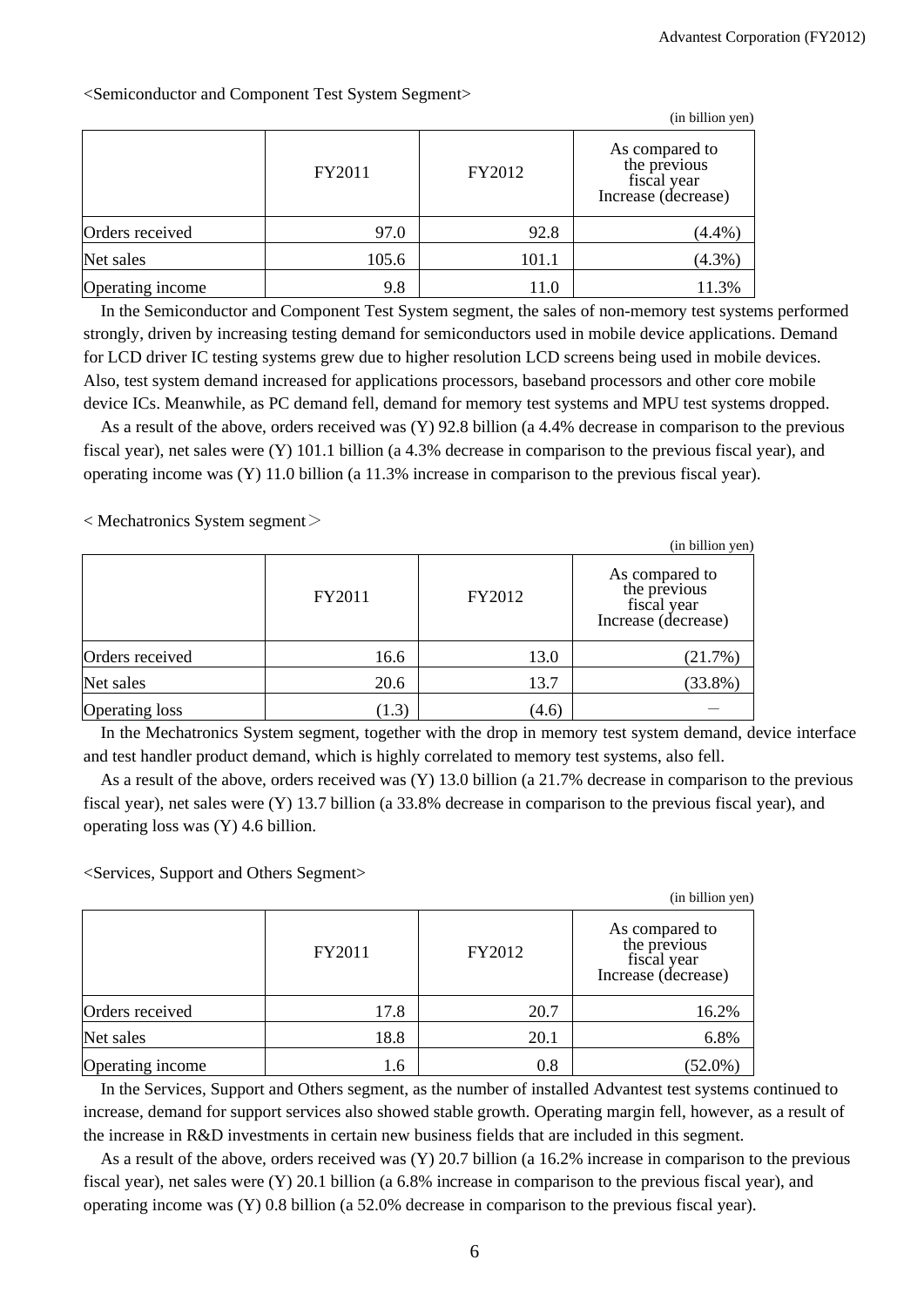|                  |        |        | (in billion yen)                                                     |
|------------------|--------|--------|----------------------------------------------------------------------|
|                  | FY2011 | FY2012 | As compared to<br>the previous<br>fiscal year<br>Increase (decrease) |
| Orders received  | 97.0   | 92.8   | (4.4%)                                                               |
| Net sales        | 105.6  | 101.1  | $(4.3\%)$                                                            |
| Operating income | 9.8    | 11.0   | 11.3%                                                                |

<Semiconductor and Component Test System Segment>

In the Semiconductor and Component Test System segment, the sales of non-memory test systems performed strongly, driven by increasing testing demand for semiconductors used in mobile device applications. Demand for LCD driver IC testing systems grew due to higher resolution LCD screens being used in mobile devices. Also, test system demand increased for applications processors, baseband processors and other core mobile device ICs. Meanwhile, as PC demand fell, demand for memory test systems and MPU test systems dropped.

As a result of the above, orders received was (Y) 92.8 billion (a 4.4% decrease in comparison to the previous fiscal year), net sales were (Y) 101.1 billion (a 4.3% decrease in comparison to the previous fiscal year), and operating income was (Y) 11.0 billion (a 11.3% increase in comparison to the previous fiscal year).

 $\langle$  Mechatronics System segment $\rangle$ 

|                 |        |        | (in billion yen)                                                     |
|-----------------|--------|--------|----------------------------------------------------------------------|
|                 | FY2011 | FY2012 | As compared to<br>the previous<br>fiscal year<br>Increase (decrease) |
| Orders received | 16.6   | 13.0   | (21.7%)                                                              |
| Net sales       | 20.6   | 13.7   | $(33.8\%)$                                                           |
| Operating loss  | (1.3)  | (4.6)  |                                                                      |

In the Mechatronics System segment, together with the drop in memory test system demand, device interface and test handler product demand, which is highly correlated to memory test systems, also fell.

As a result of the above, orders received was (Y) 13.0 billion (a 21.7% decrease in comparison to the previous fiscal year), net sales were (Y) 13.7 billion (a 33.8% decrease in comparison to the previous fiscal year), and operating loss was (Y) 4.6 billion.

<Services, Support and Others Segment>

|                  |        |          | (in billion yen)                                                     |
|------------------|--------|----------|----------------------------------------------------------------------|
|                  | FY2011 | FY2012   | As compared to<br>the previous<br>fiscal year<br>Increase (decrease) |
| Orders received  | 17.8   | 20.7     | 16.2%                                                                |
| Net sales        | 18.8   | 20.1     | 6.8%                                                                 |
| Operating income | 1.6    | $_{0.8}$ | $(52.0\%)$                                                           |

In the Services, Support and Others segment, as the number of installed Advantest test systems continued to increase, demand for support services also showed stable growth. Operating margin fell, however, as a result of the increase in R&D investments in certain new business fields that are included in this segment.

As a result of the above, orders received was (Y) 20.7 billion (a 16.2% increase in comparison to the previous fiscal year), net sales were (Y) 20.1 billion (a 6.8% increase in comparison to the previous fiscal year), and operating income was (Y) 0.8 billion (a 52.0% decrease in comparison to the previous fiscal year).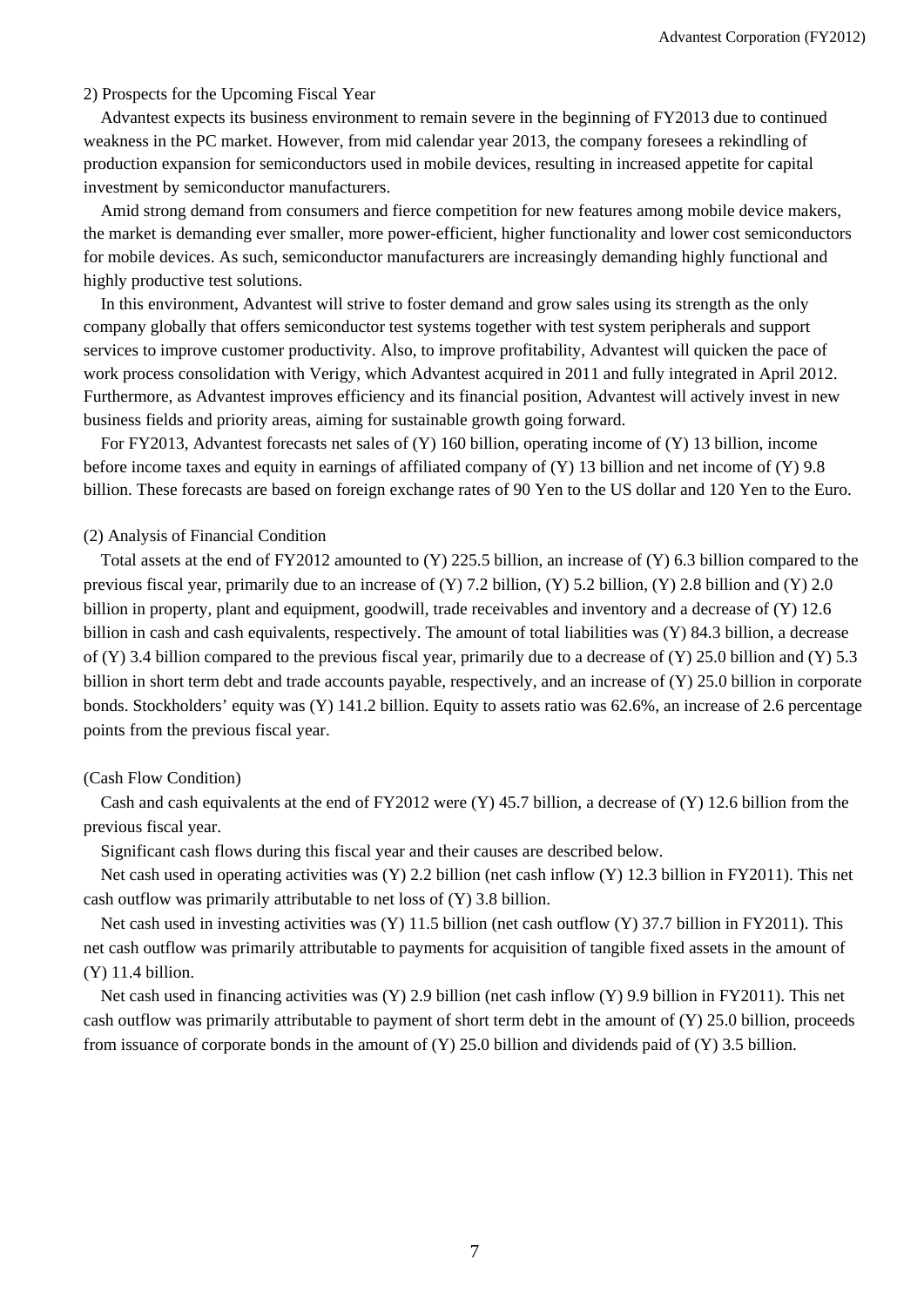#### 2) Prospects for the Upcoming Fiscal Year

Advantest expects its business environment to remain severe in the beginning of FY2013 due to continued weakness in the PC market. However, from mid calendar year 2013, the company foresees a rekindling of production expansion for semiconductors used in mobile devices, resulting in increased appetite for capital investment by semiconductor manufacturers.

Amid strong demand from consumers and fierce competition for new features among mobile device makers, the market is demanding ever smaller, more power-efficient, higher functionality and lower cost semiconductors for mobile devices. As such, semiconductor manufacturers are increasingly demanding highly functional and highly productive test solutions.

In this environment, Advantest will strive to foster demand and grow sales using its strength as the only company globally that offers semiconductor test systems together with test system peripherals and support services to improve customer productivity. Also, to improve profitability, Advantest will quicken the pace of work process consolidation with Verigy, which Advantest acquired in 2011 and fully integrated in April 2012. Furthermore, as Advantest improves efficiency and its financial position, Advantest will actively invest in new business fields and priority areas, aiming for sustainable growth going forward.

For FY2013, Advantest forecasts net sales of (Y) 160 billion, operating income of (Y) 13 billion, income before income taxes and equity in earnings of affiliated company of (Y) 13 billion and net income of (Y) 9.8 billion. These forecasts are based on foreign exchange rates of 90 Yen to the US dollar and 120 Yen to the Euro.

#### (2) Analysis of Financial Condition

Total assets at the end of FY2012 amounted to (Y) 225.5 billion, an increase of (Y) 6.3 billion compared to the previous fiscal year, primarily due to an increase of (Y) 7.2 billion, (Y) 5.2 billion, (Y) 2.8 billion and (Y) 2.0 billion in property, plant and equipment, goodwill, trade receivables and inventory and a decrease of (Y) 12.6 billion in cash and cash equivalents, respectively. The amount of total liabilities was (Y) 84.3 billion, a decrease of  $(Y)$  3.4 billion compared to the previous fiscal year, primarily due to a decrease of  $(Y)$  25.0 billion and  $(Y)$  5.3 billion in short term debt and trade accounts payable, respectively, and an increase of (Y) 25.0 billion in corporate bonds. Stockholders' equity was (Y) 141.2 billion. Equity to assets ratio was 62.6%, an increase of 2.6 percentage points from the previous fiscal year.

#### (Cash Flow Condition)

Cash and cash equivalents at the end of FY2012 were (Y) 45.7 billion, a decrease of (Y) 12.6 billion from the previous fiscal year.

Significant cash flows during this fiscal year and their causes are described below.

Net cash used in operating activities was (Y) 2.2 billion (net cash inflow (Y) 12.3 billion in FY2011). This net cash outflow was primarily attributable to net loss of (Y) 3.8 billion.

Net cash used in investing activities was (Y) 11.5 billion (net cash outflow (Y) 37.7 billion in FY2011). This net cash outflow was primarily attributable to payments for acquisition of tangible fixed assets in the amount of (Y) 11.4 billion.

Net cash used in financing activities was (Y) 2.9 billion (net cash inflow (Y) 9.9 billion in FY2011). This net cash outflow was primarily attributable to payment of short term debt in the amount of (Y) 25.0 billion, proceeds from issuance of corporate bonds in the amount of (Y) 25.0 billion and dividends paid of (Y) 3.5 billion.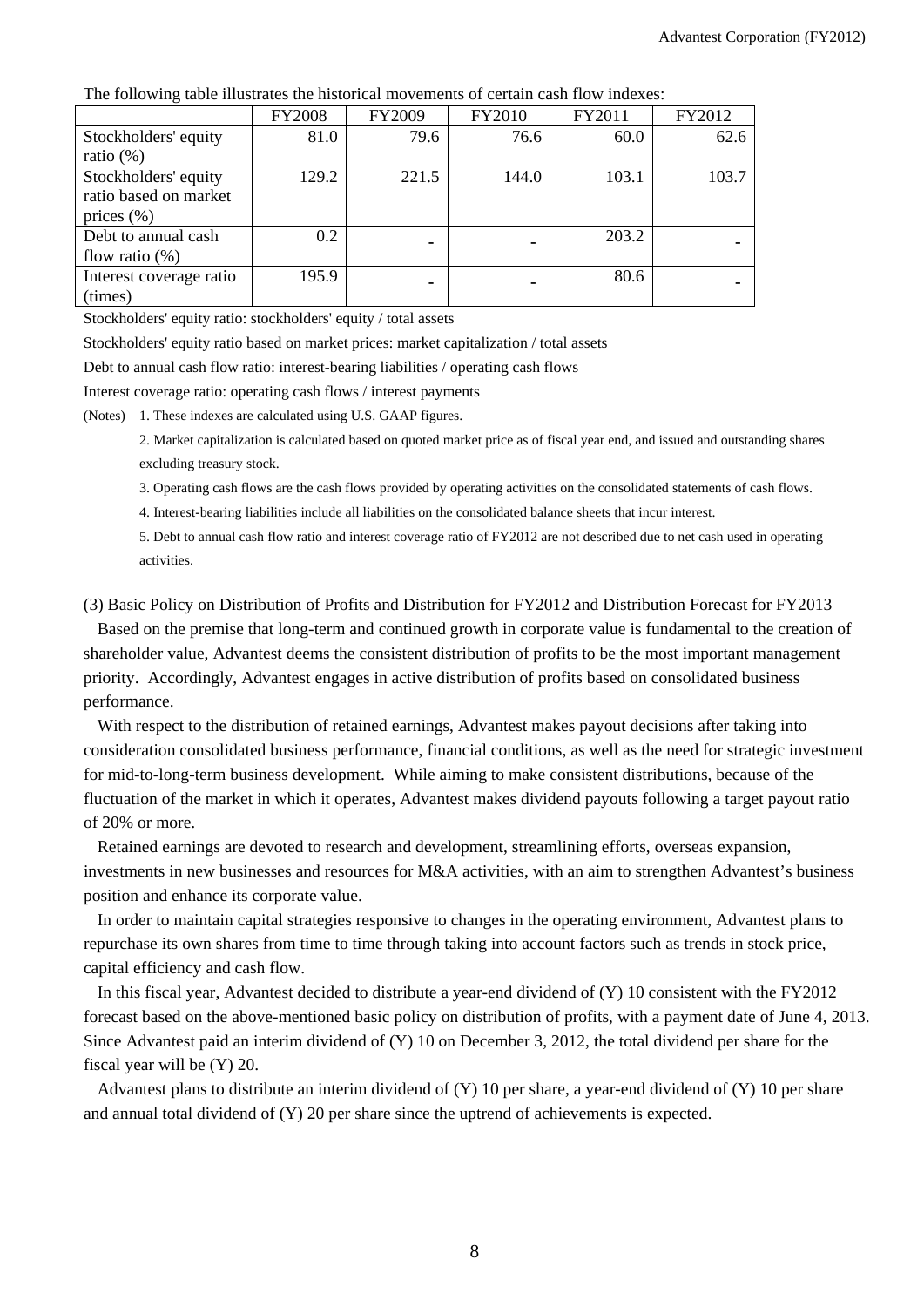|                         | <b>FY2008</b> | FY2009 | FY2010 | FY2011 | FY2012 |
|-------------------------|---------------|--------|--------|--------|--------|
| Stockholders' equity    | 81.0          | 79.6   | 76.6   | 60.0   | 62.6   |
| ratio $(\%)$            |               |        |        |        |        |
| Stockholders' equity    | 129.2         | 221.5  | 144.0  | 103.1  | 103.7  |
| ratio based on market   |               |        |        |        |        |
| prices $(\% )$          |               |        |        |        |        |
| Debt to annual cash     | 0.2           |        | ۰      | 203.2  |        |
| flow ratio $(\%)$       |               |        |        |        |        |
| Interest coverage ratio | 195.9         |        | ٠      | 80.6   |        |
| (times)                 |               |        |        |        |        |

The following table illustrates the historical movements of certain cash flow indexes:

Stockholders' equity ratio: stockholders' equity / total assets

Stockholders' equity ratio based on market prices: market capitalization / total assets

Debt to annual cash flow ratio: interest-bearing liabilities / operating cash flows

Interest coverage ratio: operating cash flows / interest payments

(Notes) 1. These indexes are calculated using U.S. GAAP figures.

2. Market capitalization is calculated based on quoted market price as of fiscal year end, and issued and outstanding shares excluding treasury stock.

3. Operating cash flows are the cash flows provided by operating activities on the consolidated statements of cash flows.

4. Interest-bearing liabilities include all liabilities on the consolidated balance sheets that incur interest.

5. Debt to annual cash flow ratio and interest coverage ratio of FY2012 are not described due to net cash used in operating activities.

(3) Basic Policy on Distribution of Profits and Distribution for FY2012 and Distribution Forecast for FY2013

Based on the premise that long-term and continued growth in corporate value is fundamental to the creation of shareholder value, Advantest deems the consistent distribution of profits to be the most important management priority. Accordingly, Advantest engages in active distribution of profits based on consolidated business performance.

With respect to the distribution of retained earnings, Advantest makes payout decisions after taking into consideration consolidated business performance, financial conditions, as well as the need for strategic investment for mid-to-long-term business development. While aiming to make consistent distributions, because of the fluctuation of the market in which it operates, Advantest makes dividend payouts following a target payout ratio of 20% or more.

Retained earnings are devoted to research and development, streamlining efforts, overseas expansion, investments in new businesses and resources for M&A activities, with an aim to strengthen Advantest's business position and enhance its corporate value.

In order to maintain capital strategies responsive to changes in the operating environment, Advantest plans to repurchase its own shares from time to time through taking into account factors such as trends in stock price, capital efficiency and cash flow.

In this fiscal year, Advantest decided to distribute a year-end dividend of (Y) 10 consistent with the FY2012 forecast based on the above-mentioned basic policy on distribution of profits, with a payment date of June 4, 2013. Since Advantest paid an interim dividend of (Y) 10 on December 3, 2012, the total dividend per share for the fiscal year will be (Y) 20.

Advantest plans to distribute an interim dividend of (Y) 10 per share, a year-end dividend of (Y) 10 per share and annual total dividend of (Y) 20 per share since the uptrend of achievements is expected.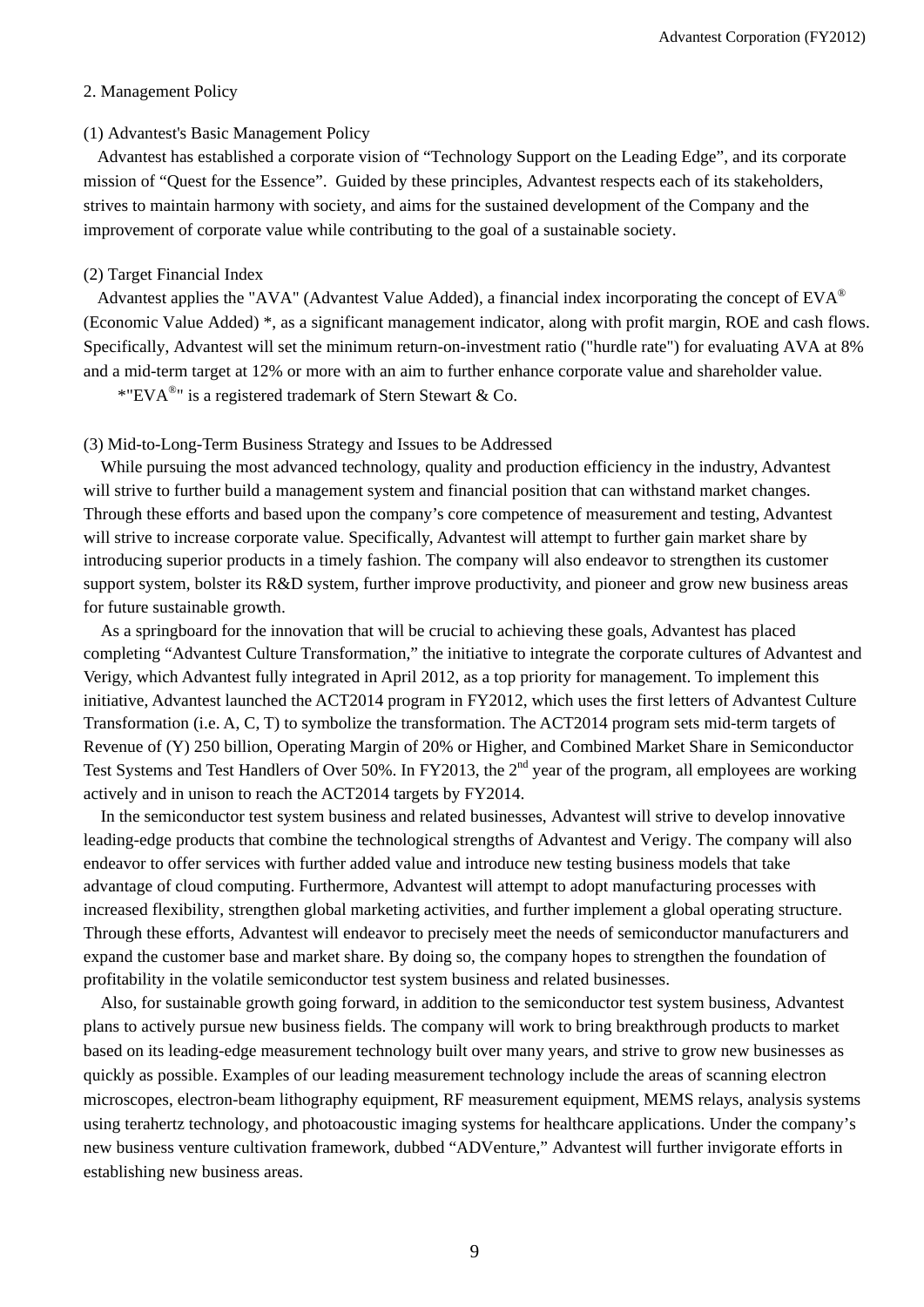### 2. Management Policy

#### (1) Advantest's Basic Management Policy

Advantest has established a corporate vision of "Technology Support on the Leading Edge", and its corporate mission of "Quest for the Essence". Guided by these principles, Advantest respects each of its stakeholders, strives to maintain harmony with society, and aims for the sustained development of the Company and the improvement of corporate value while contributing to the goal of a sustainable society.

## (2) Target Financial Index

Advantest applies the "AVA" (Advantest Value Added), a financial index incorporating the concept of  $EVA^{\circledast}$ (Economic Value Added) \*, as a significant management indicator, along with profit margin, ROE and cash flows. Specifically, Advantest will set the minimum return-on-investment ratio ("hurdle rate") for evaluating AVA at 8% and a mid-term target at 12% or more with an aim to further enhance corporate value and shareholder value.

\*"EVA<sup>®</sup>" is a registered trademark of Stern Stewart & Co.

#### (3) Mid-to-Long-Term Business Strategy and Issues to be Addressed

While pursuing the most advanced technology, quality and production efficiency in the industry, Advantest will strive to further build a management system and financial position that can withstand market changes. Through these efforts and based upon the company's core competence of measurement and testing, Advantest will strive to increase corporate value. Specifically, Advantest will attempt to further gain market share by introducing superior products in a timely fashion. The company will also endeavor to strengthen its customer support system, bolster its R&D system, further improve productivity, and pioneer and grow new business areas for future sustainable growth.

As a springboard for the innovation that will be crucial to achieving these goals, Advantest has placed completing "Advantest Culture Transformation," the initiative to integrate the corporate cultures of Advantest and Verigy, which Advantest fully integrated in April 2012, as a top priority for management. To implement this initiative, Advantest launched the ACT2014 program in FY2012, which uses the first letters of Advantest Culture Transformation (i.e. A, C, T) to symbolize the transformation. The ACT2014 program sets mid-term targets of Revenue of (Y) 250 billion, Operating Margin of 20% or Higher, and Combined Market Share in Semiconductor Test Systems and Test Handlers of Over 50%. In FY2013, the 2<sup>nd</sup> year of the program, all employees are working actively and in unison to reach the ACT2014 targets by FY2014.

In the semiconductor test system business and related businesses, Advantest will strive to develop innovative leading-edge products that combine the technological strengths of Advantest and Verigy. The company will also endeavor to offer services with further added value and introduce new testing business models that take advantage of cloud computing. Furthermore, Advantest will attempt to adopt manufacturing processes with increased flexibility, strengthen global marketing activities, and further implement a global operating structure. Through these efforts, Advantest will endeavor to precisely meet the needs of semiconductor manufacturers and expand the customer base and market share. By doing so, the company hopes to strengthen the foundation of profitability in the volatile semiconductor test system business and related businesses.

Also, for sustainable growth going forward, in addition to the semiconductor test system business, Advantest plans to actively pursue new business fields. The company will work to bring breakthrough products to market based on its leading-edge measurement technology built over many years, and strive to grow new businesses as quickly as possible. Examples of our leading measurement technology include the areas of scanning electron microscopes, electron-beam lithography equipment, RF measurement equipment, MEMS relays, analysis systems using terahertz technology, and photoacoustic imaging systems for healthcare applications. Under the company's new business venture cultivation framework, dubbed "ADVenture," Advantest will further invigorate efforts in establishing new business areas.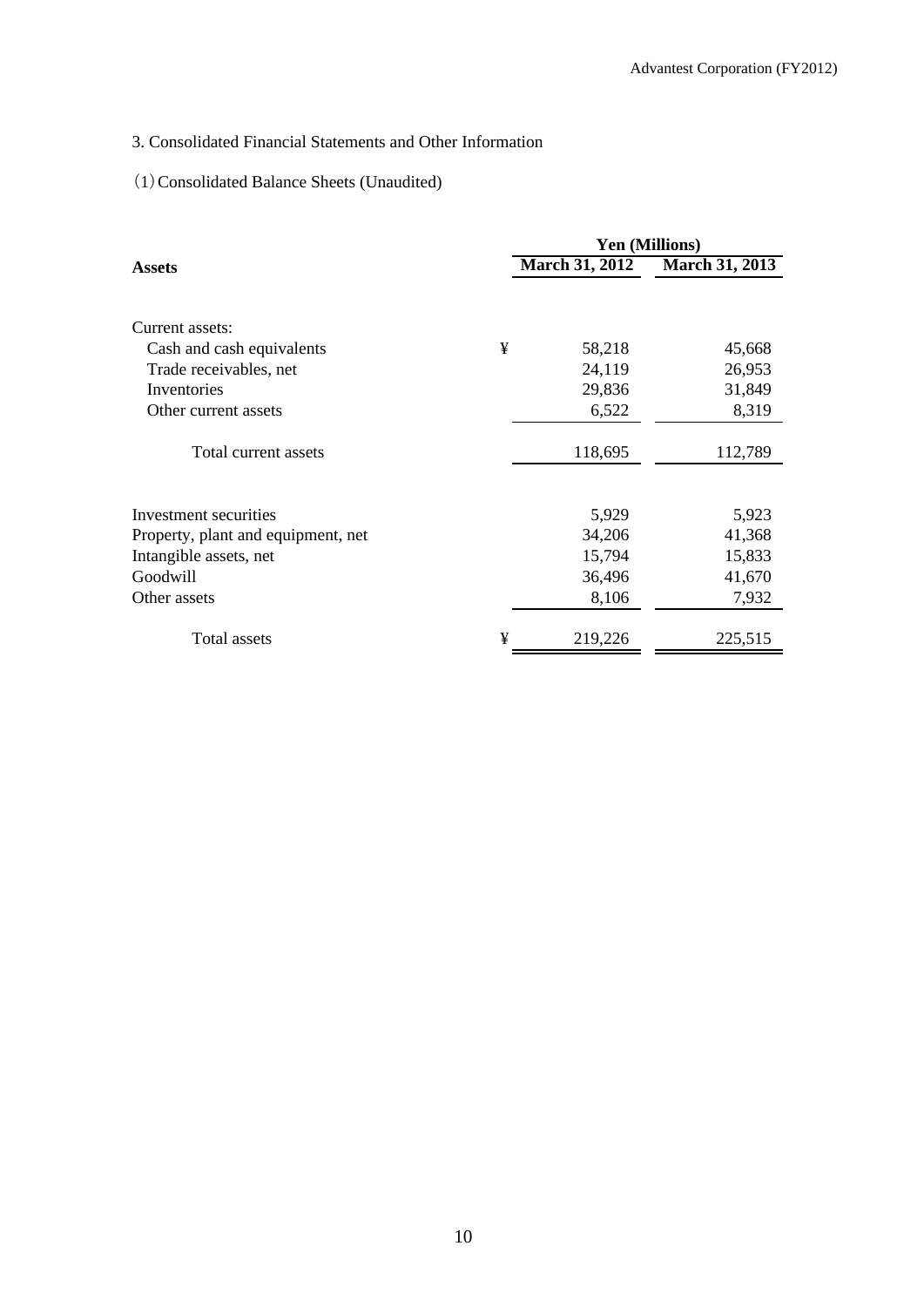# 3. Consolidated Financial Statements and Other Information

# (1)Consolidated Balance Sheets (Unaudited)

|                                    | <b>Yen (Millions)</b> |                       |                       |  |
|------------------------------------|-----------------------|-----------------------|-----------------------|--|
| <b>Assets</b>                      |                       | <b>March 31, 2012</b> | <b>March 31, 2013</b> |  |
| Current assets:                    |                       |                       |                       |  |
| Cash and cash equivalents          | ¥                     | 58,218                | 45,668                |  |
| Trade receivables, net             |                       | 24,119                | 26,953                |  |
| Inventories                        |                       | 29,836                | 31,849                |  |
| Other current assets               |                       | 6,522                 | 8,319                 |  |
| Total current assets               |                       | 118,695               | 112,789               |  |
| Investment securities              |                       | 5,929                 | 5,923                 |  |
| Property, plant and equipment, net |                       | 34,206                | 41,368                |  |
| Intangible assets, net             |                       | 15,794                | 15,833                |  |
| Goodwill                           |                       | 36,496                | 41,670                |  |
| Other assets                       |                       | 8,106                 | 7,932                 |  |
| Total assets                       | ¥                     | 219,226               | 225,515               |  |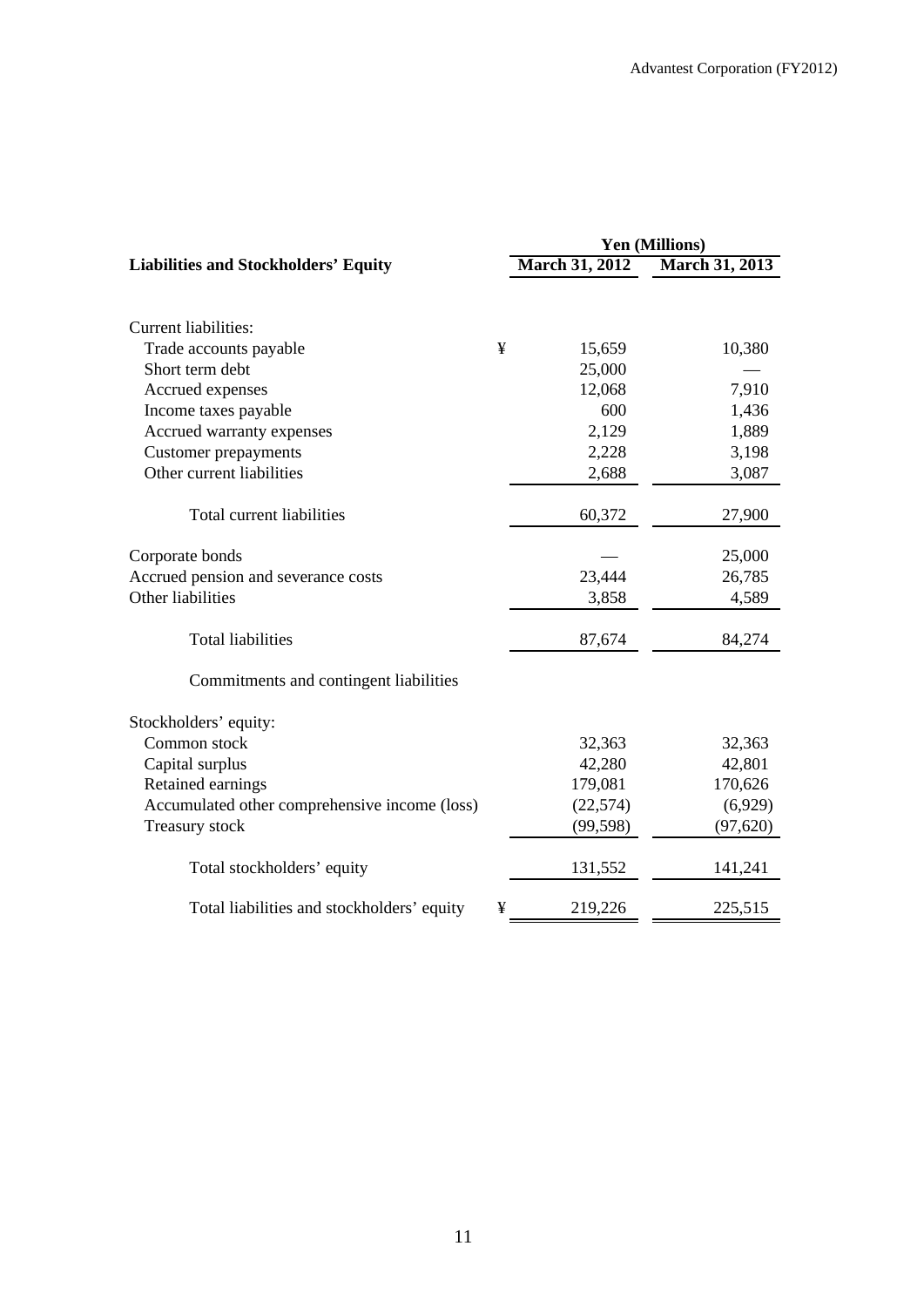|                                               |   |                       | <b>Yen (Millions)</b> |
|-----------------------------------------------|---|-----------------------|-----------------------|
| <b>Liabilities and Stockholders' Equity</b>   |   | <b>March 31, 2012</b> | <b>March 31, 2013</b> |
|                                               |   |                       |                       |
| <b>Current liabilities:</b>                   |   |                       |                       |
| Trade accounts payable                        | ¥ | 15,659                | 10,380                |
| Short term debt                               |   | 25,000                |                       |
| Accrued expenses                              |   | 12,068                | 7,910                 |
| Income taxes payable                          |   | 600                   | 1,436                 |
| Accrued warranty expenses                     |   | 2,129                 | 1,889                 |
| <b>Customer prepayments</b>                   |   | 2,228                 | 3,198                 |
| Other current liabilities                     |   | 2,688                 | 3,087                 |
| Total current liabilities                     |   | 60,372                | 27,900                |
| Corporate bonds                               |   |                       | 25,000                |
| Accrued pension and severance costs           |   | 23,444                | 26,785                |
| Other liabilities                             |   | 3,858                 | 4,589                 |
| <b>Total liabilities</b>                      |   | 87,674                | 84,274                |
| Commitments and contingent liabilities        |   |                       |                       |
| Stockholders' equity:                         |   |                       |                       |
| Common stock                                  |   | 32,363                | 32,363                |
| Capital surplus                               |   | 42,280                | 42,801                |
| Retained earnings                             |   | 179,081               | 170,626               |
| Accumulated other comprehensive income (loss) |   | (22, 574)             | (6,929)               |
| Treasury stock                                |   | (99, 598)             | (97, 620)             |
| Total stockholders' equity                    |   | 131,552               | 141,241               |
| Total liabilities and stockholders' equity    | ¥ | 219,226               | 225,515               |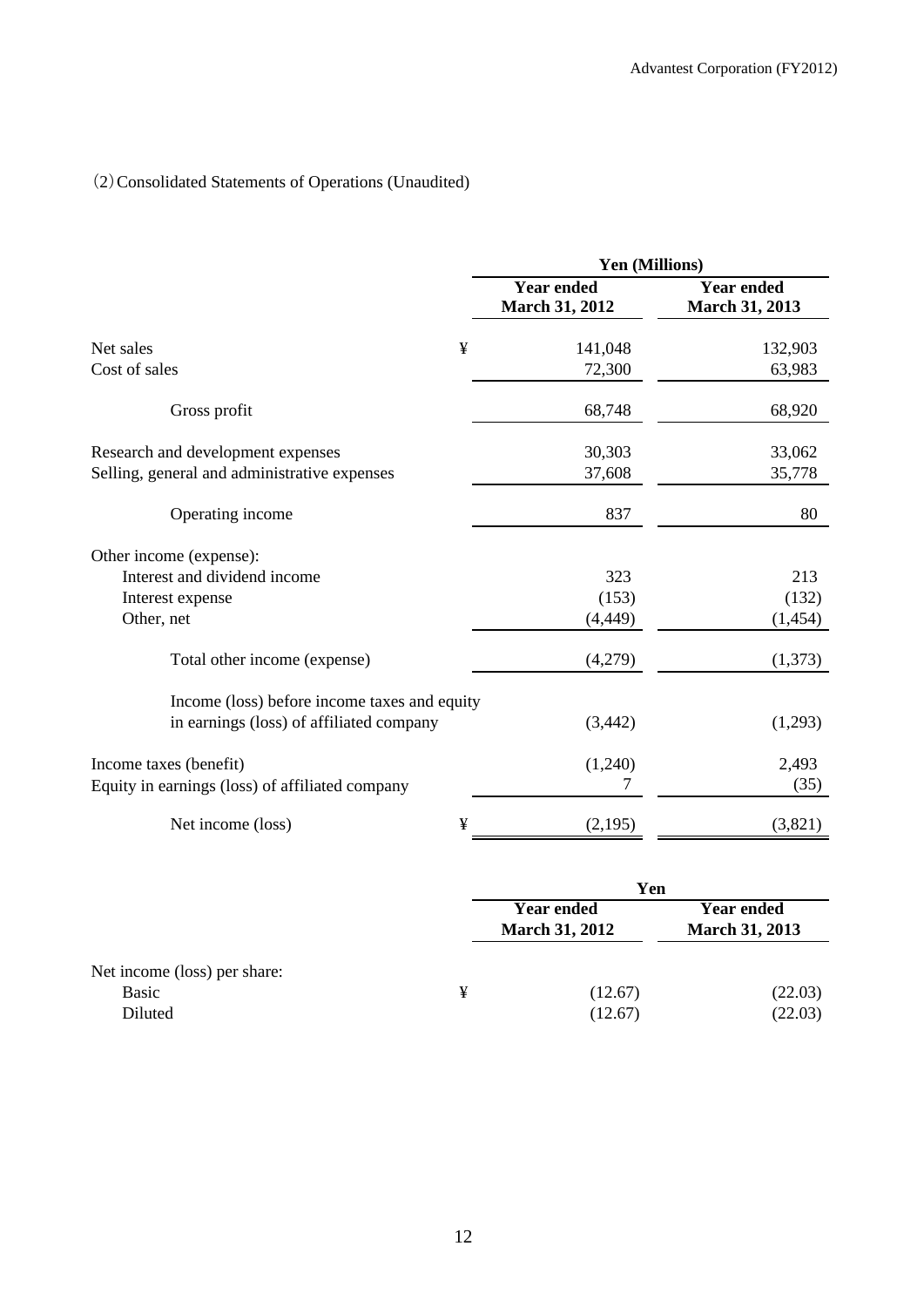# (2)Consolidated Statements of Operations (Unaudited)

|                                                 | Yen (Millions)                             |                                            |  |
|-------------------------------------------------|--------------------------------------------|--------------------------------------------|--|
|                                                 | <b>Year ended</b><br><b>March 31, 2012</b> | <b>Year ended</b><br><b>March 31, 2013</b> |  |
| ¥<br>Net sales                                  | 141,048                                    | 132,903                                    |  |
| Cost of sales                                   | 72,300                                     | 63,983                                     |  |
| Gross profit                                    | 68,748                                     | 68,920                                     |  |
| Research and development expenses               | 30,303                                     | 33,062                                     |  |
| Selling, general and administrative expenses    | 37,608                                     | 35,778                                     |  |
| Operating income                                | 837                                        | 80                                         |  |
| Other income (expense):                         |                                            |                                            |  |
| Interest and dividend income                    | 323                                        | 213                                        |  |
| Interest expense                                | (153)                                      | (132)                                      |  |
| Other, net                                      | (4, 449)                                   | (1, 454)                                   |  |
| Total other income (expense)                    | (4,279)                                    | (1,373)                                    |  |
| Income (loss) before income taxes and equity    |                                            |                                            |  |
| in earnings (loss) of affiliated company        | (3, 442)                                   | (1,293)                                    |  |
| Income taxes (benefit)                          | (1,240)                                    | 2,493                                      |  |
| Equity in earnings (loss) of affiliated company | 7                                          | (35)                                       |  |
| Net income (loss)<br>¥                          | (2,195)                                    | (3,821)                                    |  |

|                                                  |   | Yen                                        |                                            |  |
|--------------------------------------------------|---|--------------------------------------------|--------------------------------------------|--|
|                                                  |   | <b>Year ended</b><br><b>March 31, 2012</b> | <b>Year ended</b><br><b>March 31, 2013</b> |  |
| Net income (loss) per share:<br>Basic<br>Diluted | ¥ | (12.67)<br>(12.67)                         | (22.03)<br>(22.03)                         |  |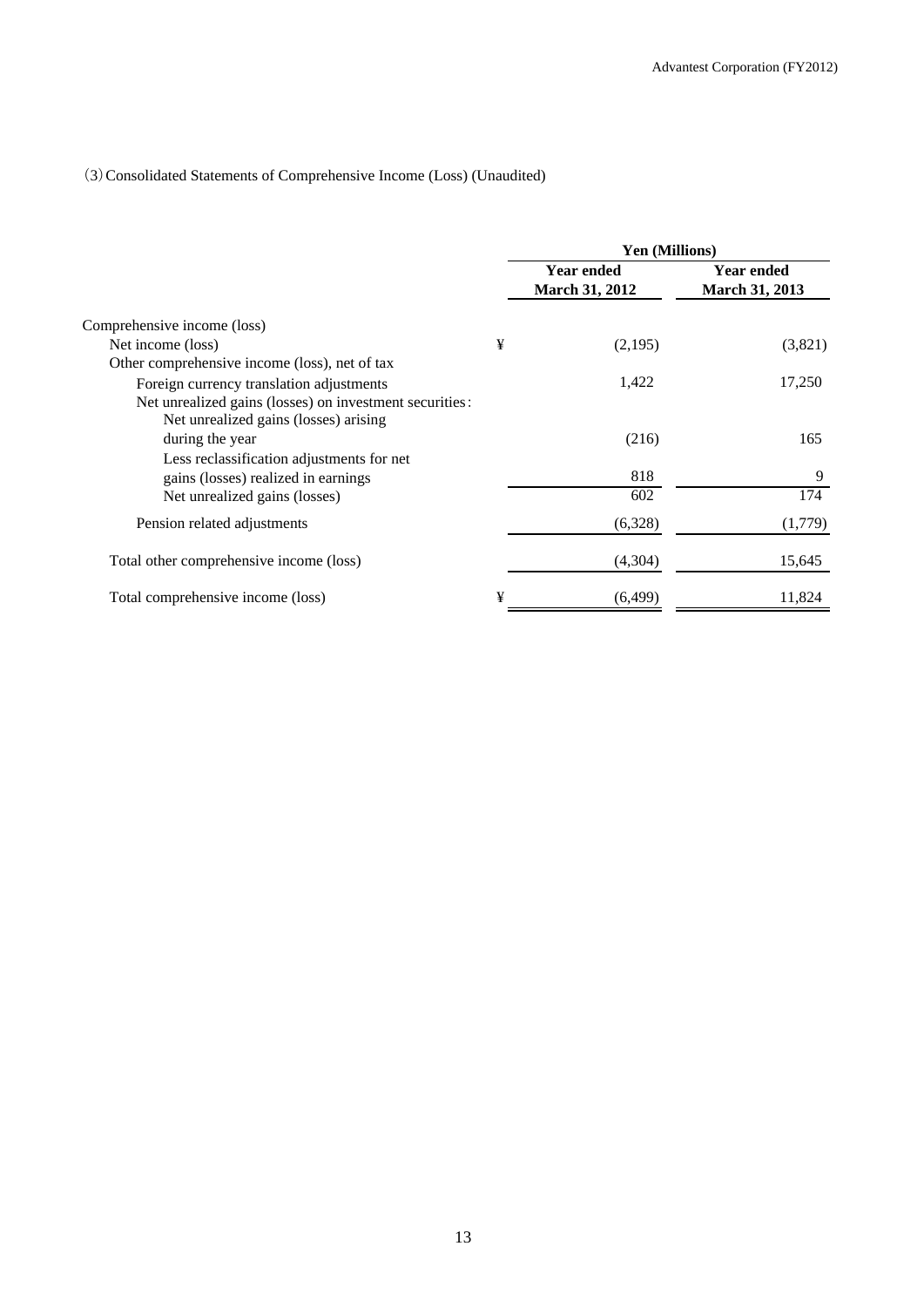# (3)Consolidated Statements of Comprehensive Income (Loss) (Unaudited)

|                                                                                                  |   | <b>Yen (Millions)</b>                      |                                     |  |
|--------------------------------------------------------------------------------------------------|---|--------------------------------------------|-------------------------------------|--|
|                                                                                                  |   | <b>Year ended</b><br><b>March 31, 2012</b> | <b>Year ended</b><br>March 31, 2013 |  |
| Comprehensive income (loss)                                                                      |   |                                            |                                     |  |
| Net income (loss)                                                                                | ¥ | (2,195)                                    | (3,821)                             |  |
| Other comprehensive income (loss), net of tax                                                    |   |                                            |                                     |  |
| Foreign currency translation adjustments                                                         |   | 1,422                                      | 17,250                              |  |
| Net unrealized gains (losses) on investment securities:<br>Net unrealized gains (losses) arising |   |                                            |                                     |  |
| during the year                                                                                  |   | (216)                                      | 165                                 |  |
| Less reclassification adjustments for net                                                        |   |                                            |                                     |  |
| gains (losses) realized in earnings                                                              |   | 818                                        | 9                                   |  |
| Net unrealized gains (losses)                                                                    |   | 602                                        | 174                                 |  |
| Pension related adjustments                                                                      |   | (6,328)                                    | (1,779)                             |  |
| Total other comprehensive income (loss)                                                          |   | (4,304)                                    | 15,645                              |  |
| Total comprehensive income (loss)                                                                | ¥ | (6, 499)                                   | 11,824                              |  |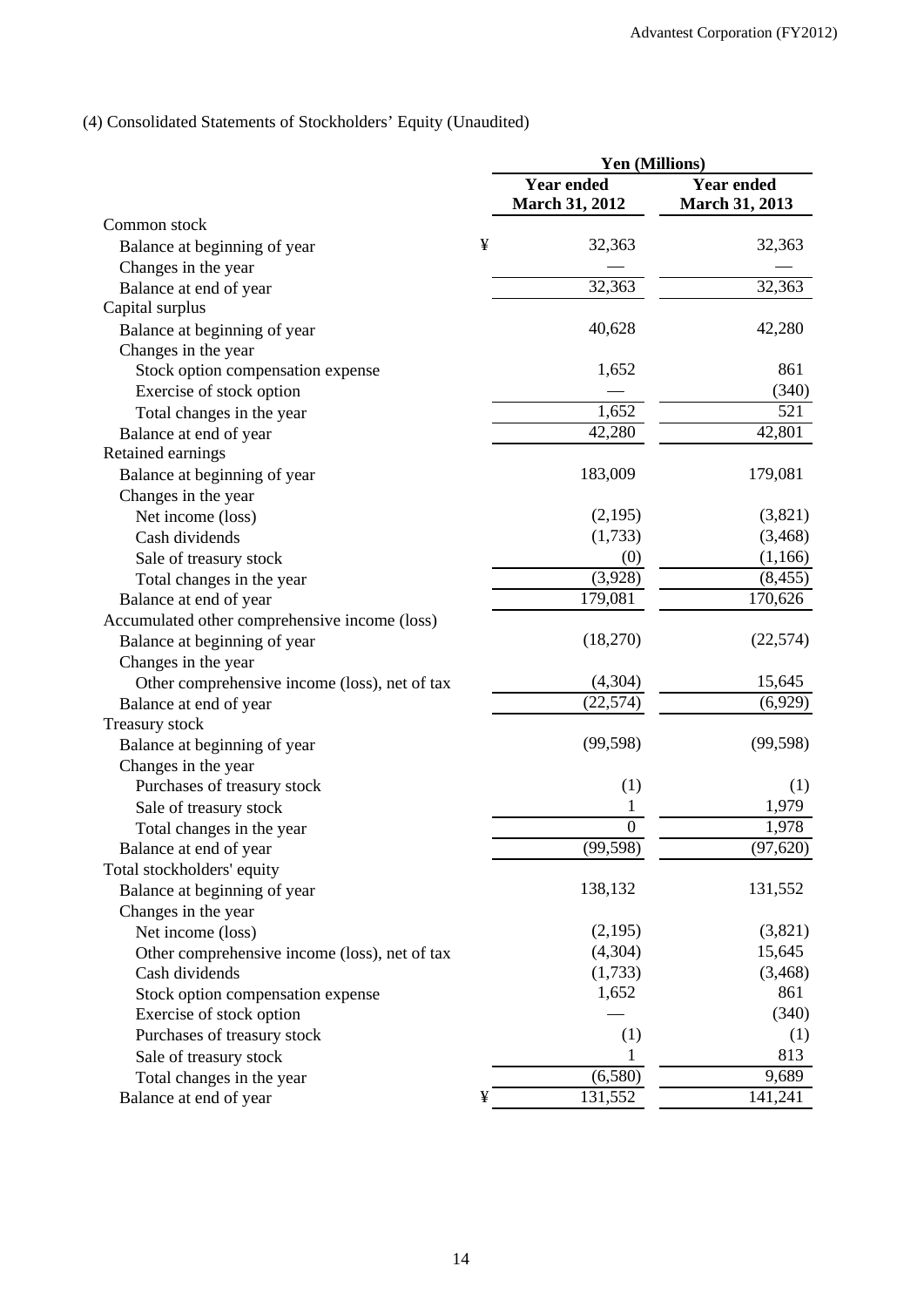# (4) Consolidated Statements of Stockholders' Equity (Unaudited)

|                                               |   | Yen (Millions)                             |                                            |  |
|-----------------------------------------------|---|--------------------------------------------|--------------------------------------------|--|
|                                               |   | <b>Year ended</b><br><b>March 31, 2012</b> | <b>Year ended</b><br><b>March 31, 2013</b> |  |
| Common stock                                  |   |                                            |                                            |  |
| Balance at beginning of year                  | ¥ | 32,363                                     | 32,363                                     |  |
| Changes in the year                           |   |                                            |                                            |  |
| Balance at end of year                        |   | 32,363                                     | 32,363                                     |  |
| Capital surplus                               |   |                                            |                                            |  |
| Balance at beginning of year                  |   | 40,628                                     | 42,280                                     |  |
| Changes in the year                           |   |                                            |                                            |  |
| Stock option compensation expense             |   | 1,652                                      | 861                                        |  |
| Exercise of stock option                      |   |                                            | (340)                                      |  |
| Total changes in the year                     |   | 1,652                                      | 521                                        |  |
| Balance at end of year                        |   | 42,280                                     | 42,801                                     |  |
| Retained earnings                             |   |                                            |                                            |  |
| Balance at beginning of year                  |   | 183,009                                    | 179,081                                    |  |
| Changes in the year                           |   |                                            |                                            |  |
| Net income (loss)                             |   | (2,195)                                    | (3,821)                                    |  |
| Cash dividends                                |   | (1,733)                                    | (3,468)                                    |  |
| Sale of treasury stock                        |   | (0)                                        | (1,166)                                    |  |
| Total changes in the year                     |   | (3,928)                                    | (8, 455)                                   |  |
| Balance at end of year                        |   | 179,081                                    | 170,626                                    |  |
| Accumulated other comprehensive income (loss) |   |                                            |                                            |  |
| Balance at beginning of year                  |   | (18,270)                                   | (22, 574)                                  |  |
| Changes in the year                           |   |                                            |                                            |  |
| Other comprehensive income (loss), net of tax |   | (4,304)                                    | 15,645                                     |  |
| Balance at end of year                        |   | (22, 574)                                  | (6,929)                                    |  |
| Treasury stock                                |   |                                            |                                            |  |
| Balance at beginning of year                  |   | (99, 598)                                  | (99, 598)                                  |  |
| Changes in the year                           |   |                                            |                                            |  |
| Purchases of treasury stock                   |   | (1)                                        | (1)                                        |  |
| Sale of treasury stock                        |   |                                            | 1,979                                      |  |
| Total changes in the year                     |   | $\overline{0}$                             | 1,978                                      |  |
| Balance at end of year                        |   | (99, 598)                                  | (97, 620)                                  |  |
| Total stockholders' equity                    |   |                                            |                                            |  |
| Balance at beginning of year                  |   | 138,132                                    | 131,552                                    |  |
| Changes in the year                           |   |                                            |                                            |  |
| Net income (loss)                             |   | (2,195)                                    | (3,821)                                    |  |
| Other comprehensive income (loss), net of tax |   | (4,304)                                    | 15,645                                     |  |
| Cash dividends                                |   | (1,733)                                    | (3, 468)                                   |  |
| Stock option compensation expense             |   | 1,652                                      | 861                                        |  |
| Exercise of stock option                      |   |                                            | (340)                                      |  |
| Purchases of treasury stock                   |   | (1)                                        | (1)                                        |  |
| Sale of treasury stock                        |   | 1                                          | 813                                        |  |
| Total changes in the year                     |   | (6,580)                                    | 9,689                                      |  |
|                                               | ¥ | 131,552                                    | 141,241                                    |  |
| Balance at end of year                        |   |                                            |                                            |  |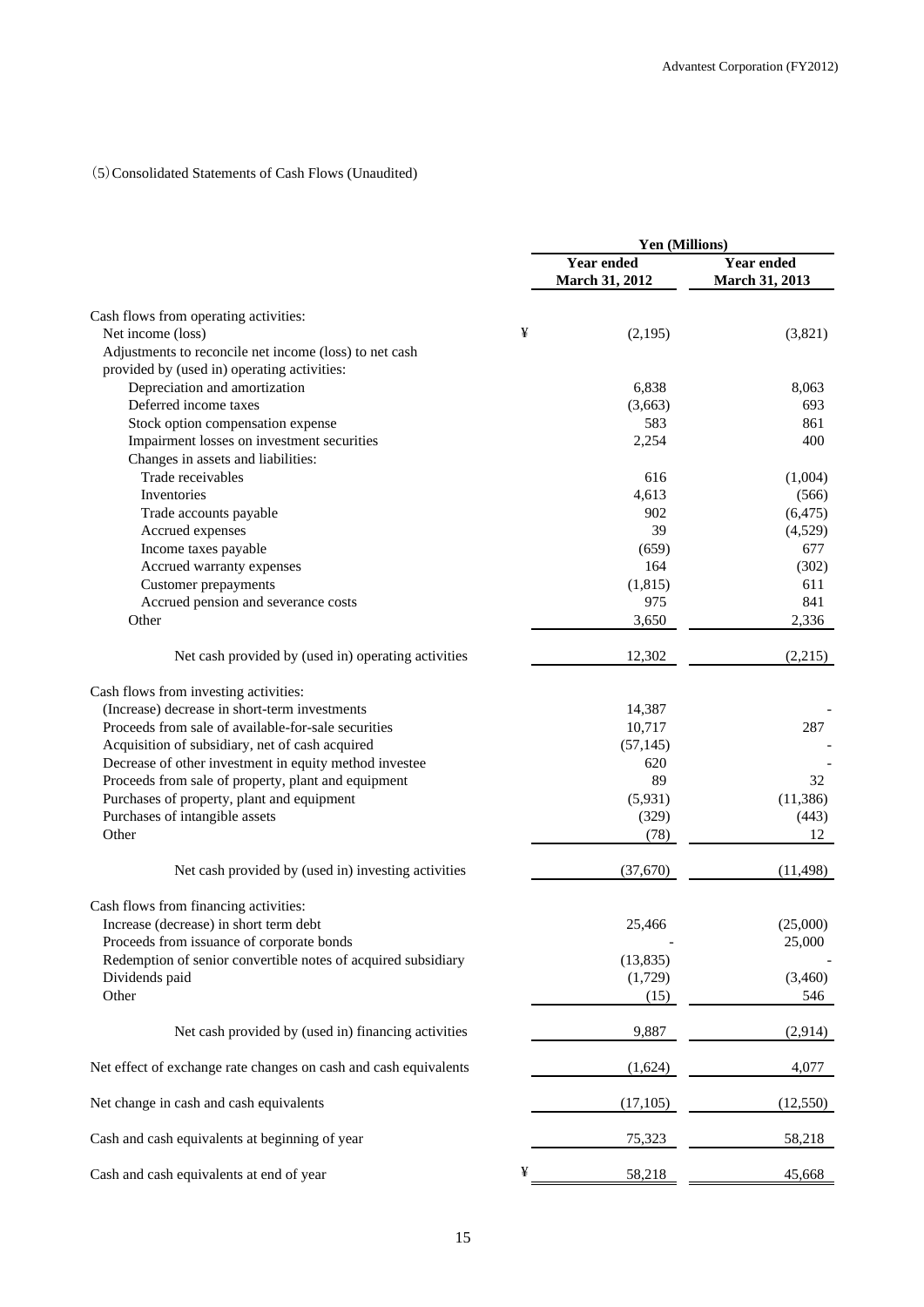# (5)Consolidated Statements of Cash Flows (Unaudited)

|                                                                  |   | Yen (Millions)               |                              |  |
|------------------------------------------------------------------|---|------------------------------|------------------------------|--|
|                                                                  |   | Year ended<br>March 31, 2012 | Year ended<br>March 31, 2013 |  |
| Cash flows from operating activities:                            |   |                              |                              |  |
| Net income (loss)                                                | ¥ | (2,195)                      | (3,821)                      |  |
| Adjustments to reconcile net income (loss) to net cash           |   |                              |                              |  |
| provided by (used in) operating activities:                      |   |                              |                              |  |
| Depreciation and amortization                                    |   | 6,838                        | 8,063                        |  |
| Deferred income taxes                                            |   | (3,663)                      | 693                          |  |
| Stock option compensation expense                                |   | 583                          | 861                          |  |
| Impairment losses on investment securities                       |   | 2,254                        | 400                          |  |
| Changes in assets and liabilities:                               |   |                              |                              |  |
| Trade receivables                                                |   | 616                          | (1,004)                      |  |
| Inventories                                                      |   | 4,613                        | (566)                        |  |
|                                                                  |   |                              |                              |  |
| Trade accounts payable                                           |   | 902                          | (6, 475)                     |  |
| Accrued expenses                                                 |   | 39                           | (4,529)                      |  |
| Income taxes payable                                             |   | (659)                        | 677                          |  |
| Accrued warranty expenses                                        |   | 164                          | (302)                        |  |
| <b>Customer</b> prepayments                                      |   | (1, 815)                     | 611                          |  |
| Accrued pension and severance costs                              |   | 975                          | 841                          |  |
| Other                                                            |   | 3,650                        | 2,336                        |  |
| Net cash provided by (used in) operating activities              |   | 12,302                       | (2,215)                      |  |
| Cash flows from investing activities:                            |   |                              |                              |  |
| (Increase) decrease in short-term investments                    |   | 14,387                       |                              |  |
| Proceeds from sale of available-for-sale securities              |   | 10,717                       | 287                          |  |
| Acquisition of subsidiary, net of cash acquired                  |   | (57, 145)                    |                              |  |
| Decrease of other investment in equity method investee           |   | 620                          |                              |  |
| Proceeds from sale of property, plant and equipment              |   | 89                           | 32                           |  |
| Purchases of property, plant and equipment                       |   | (5,931)                      | (11, 386)                    |  |
|                                                                  |   |                              |                              |  |
| Purchases of intangible assets<br>Other                          |   | (329)<br>(78)                | (443)<br>12                  |  |
|                                                                  |   |                              |                              |  |
| Net cash provided by (used in) investing activities              |   | (37,670)                     | (11, 498)                    |  |
| Cash flows from financing activities:                            |   |                              |                              |  |
| Increase (decrease) in short term debt                           |   | 25,466                       | (25,000)                     |  |
| Proceeds from issuance of corporate bonds                        |   |                              | 25,000                       |  |
| Redemption of senior convertible notes of acquired subsidiary    |   | (13, 835)                    |                              |  |
| Dividends paid                                                   |   | (1,729)                      | (3,460)                      |  |
| Other                                                            |   | (15)                         | 546                          |  |
| Net cash provided by (used in) financing activities              |   | 9,887                        | (2,914)                      |  |
| Net effect of exchange rate changes on cash and cash equivalents |   | (1,624)                      | 4,077                        |  |
| Net change in cash and cash equivalents                          |   | (17, 105)                    | (12, 550)                    |  |
| Cash and cash equivalents at beginning of year                   |   | 75,323                       | 58,218                       |  |
| Cash and cash equivalents at end of year                         | ¥ | 58,218                       | 45,668                       |  |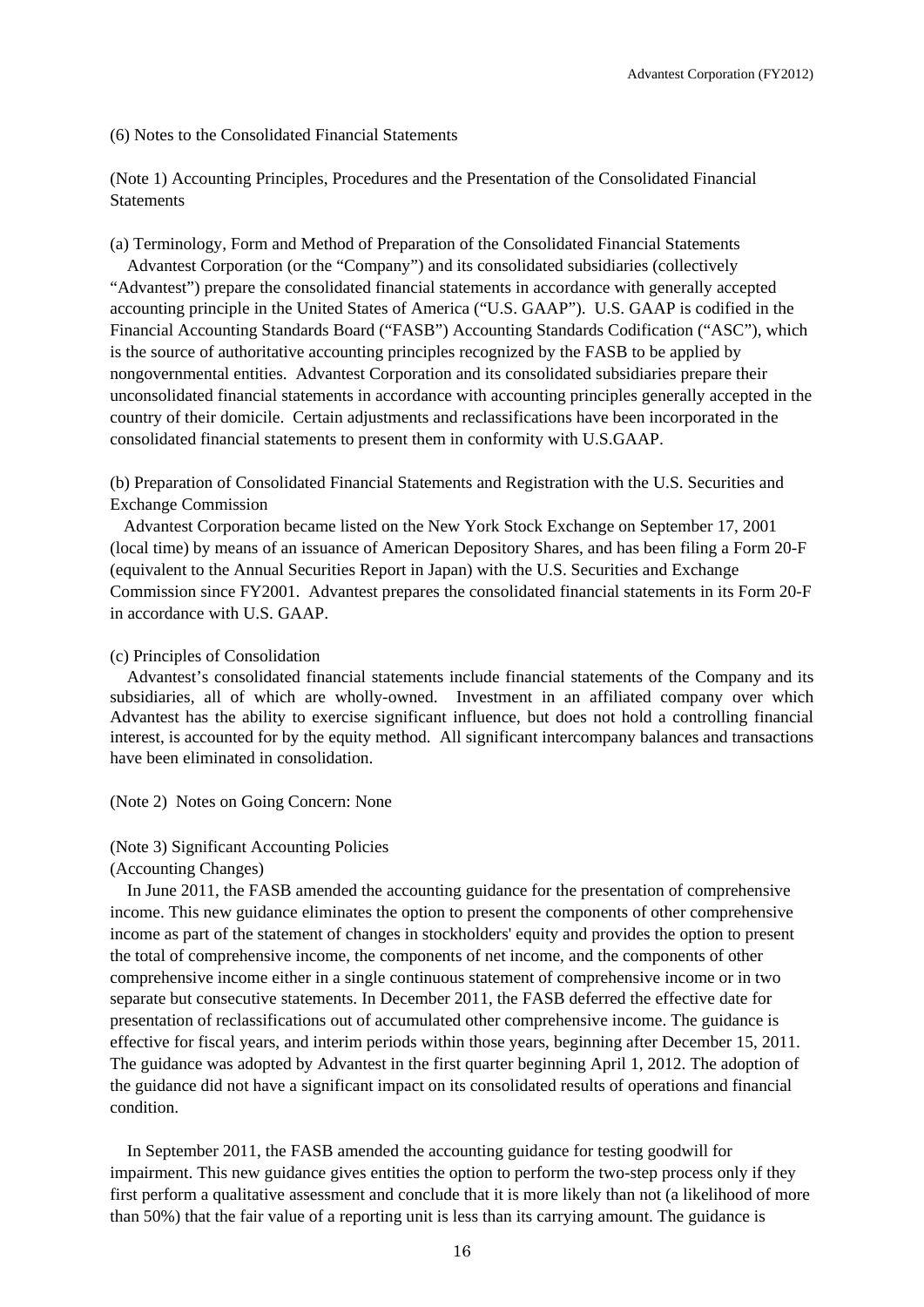(6) Notes to the Consolidated Financial Statements

(Note 1) Accounting Principles, Procedures and the Presentation of the Consolidated Financial **Statements** 

(a) Terminology, Form and Method of Preparation of the Consolidated Financial Statements

Advantest Corporation (or the "Company") and its consolidated subsidiaries (collectively "Advantest") prepare the consolidated financial statements in accordance with generally accepted accounting principle in the United States of America ("U.S. GAAP"). U.S. GAAP is codified in the Financial Accounting Standards Board ("FASB") Accounting Standards Codification ("ASC"), which is the source of authoritative accounting principles recognized by the FASB to be applied by nongovernmental entities. Advantest Corporation and its consolidated subsidiaries prepare their unconsolidated financial statements in accordance with accounting principles generally accepted in the country of their domicile. Certain adjustments and reclassifications have been incorporated in the consolidated financial statements to present them in conformity with U.S.GAAP.

(b) Preparation of Consolidated Financial Statements and Registration with the U.S. Securities and Exchange Commission

Advantest Corporation became listed on the New York Stock Exchange on September 17, 2001 (local time) by means of an issuance of American Depository Shares, and has been filing a Form 20-F (equivalent to the Annual Securities Report in Japan) with the U.S. Securities and Exchange Commission since FY2001. Advantest prepares the consolidated financial statements in its Form 20-F in accordance with U.S. GAAP.

#### (c) Principles of Consolidation

Advantest's consolidated financial statements include financial statements of the Company and its subsidiaries, all of which are wholly-owned. Investment in an affiliated company over which Advantest has the ability to exercise significant influence, but does not hold a controlling financial interest, is accounted for by the equity method. All significant intercompany balances and transactions have been eliminated in consolidation.

(Note 2) Notes on Going Concern: None

#### (Note 3) Significant Accounting Policies

(Accounting Changes)

In June 2011, the FASB amended the accounting guidance for the presentation of comprehensive income. This new guidance eliminates the option to present the components of other comprehensive income as part of the statement of changes in stockholders' equity and provides the option to present the total of comprehensive income, the components of net income, and the components of other comprehensive income either in a single continuous statement of comprehensive income or in two separate but consecutive statements. In December 2011, the FASB deferred the effective date for presentation of reclassifications out of accumulated other comprehensive income. The guidance is effective for fiscal years, and interim periods within those years, beginning after December 15, 2011. The guidance was adopted by Advantest in the first quarter beginning April 1, 2012. The adoption of the guidance did not have a significant impact on its consolidated results of operations and financial condition.

In September 2011, the FASB amended the accounting guidance for testing goodwill for impairment. This new guidance gives entities the option to perform the two-step process only if they first perform a qualitative assessment and conclude that it is more likely than not (a likelihood of more than 50%) that the fair value of a reporting unit is less than its carrying amount. The guidance is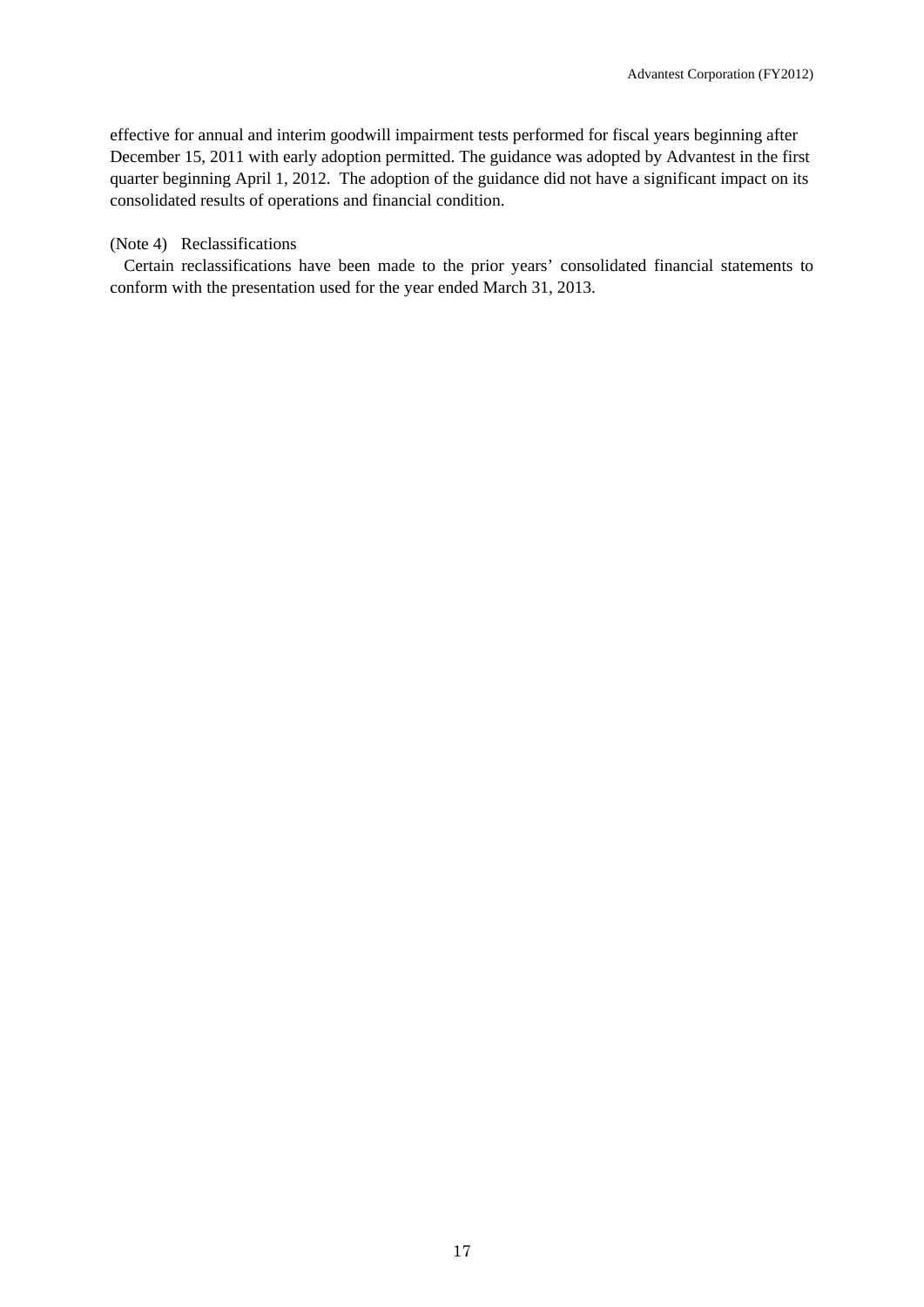effective for annual and interim goodwill impairment tests performed for fiscal years beginning after December 15, 2011 with early adoption permitted. The guidance was adopted by Advantest in the first quarter beginning April 1, 2012. The adoption of the guidance did not have a significant impact on its consolidated results of operations and financial condition.

#### (Note 4) Reclassifications

Certain reclassifications have been made to the prior years' consolidated financial statements to conform with the presentation used for the year ended March 31, 2013.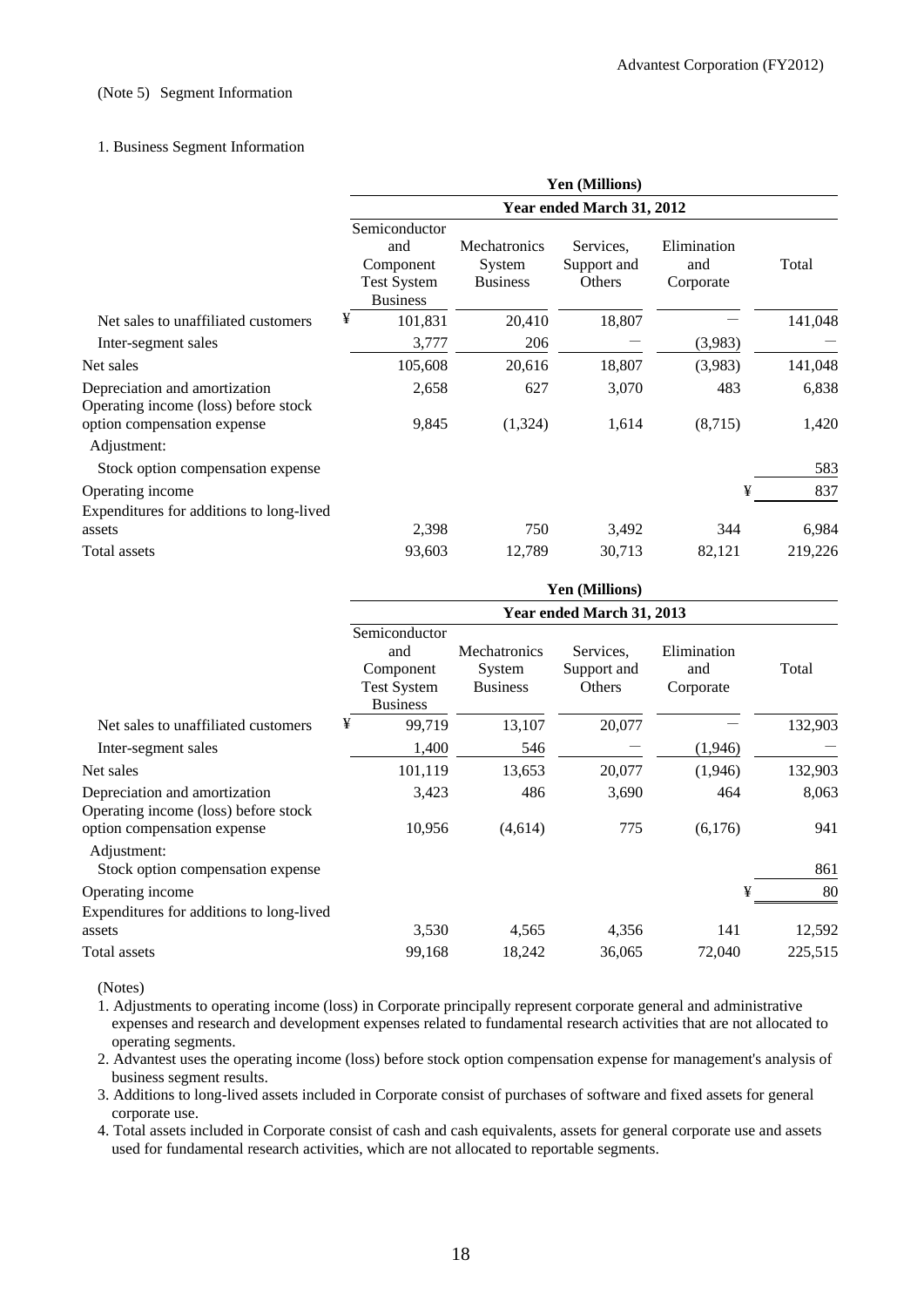#### (Note 5) Segment Information

#### 1. Business Segment Information

|                                                                       | <b>Yen (Millions)</b><br>Year ended March 31, 2012                         |                                                  |                                    |                                 |         |  |
|-----------------------------------------------------------------------|----------------------------------------------------------------------------|--------------------------------------------------|------------------------------------|---------------------------------|---------|--|
|                                                                       |                                                                            |                                                  |                                    |                                 |         |  |
|                                                                       | Semiconductor<br>and<br>Component<br><b>Test System</b><br><b>Business</b> | <b>Mechatronics</b><br>System<br><b>Business</b> | Services.<br>Support and<br>Others | Elimination<br>and<br>Corporate | Total   |  |
| Net sales to unaffiliated customers                                   | ¥<br>101,831                                                               | 20,410                                           | 18,807                             |                                 | 141,048 |  |
| Inter-segment sales                                                   | 3,777                                                                      | 206                                              |                                    | (3,983)                         |         |  |
| Net sales                                                             | 105,608                                                                    | 20,616                                           | 18,807                             | (3,983)                         | 141,048 |  |
| Depreciation and amortization<br>Operating income (loss) before stock | 2,658                                                                      | 627                                              | 3,070                              | 483                             | 6,838   |  |
| option compensation expense<br>Adjustment:                            | 9,845                                                                      | (1,324)                                          | 1,614                              | (8,715)                         | 1,420   |  |
| Stock option compensation expense                                     |                                                                            |                                                  |                                    |                                 | 583     |  |
| Operating income                                                      |                                                                            |                                                  |                                    | ¥                               | 837     |  |
| Expenditures for additions to long-lived<br>assets                    | 2,398                                                                      | 750                                              | 3,492                              | 344                             | 6,984   |  |
| Total assets                                                          | 93,603                                                                     | 12,789                                           | 30,713                             | 82,121                          | 219,226 |  |

|                                                                       | <b>Yen (Millions)</b><br>Year ended March 31, 2013                         |                                           |                                    |                                 |         |  |
|-----------------------------------------------------------------------|----------------------------------------------------------------------------|-------------------------------------------|------------------------------------|---------------------------------|---------|--|
|                                                                       |                                                                            |                                           |                                    |                                 |         |  |
|                                                                       | Semiconductor<br>and<br>Component<br><b>Test System</b><br><b>Business</b> | Mechatronics<br>System<br><b>Business</b> | Services.<br>Support and<br>Others | Elimination<br>and<br>Corporate | Total   |  |
| Net sales to unaffiliated customers                                   | ¥<br>99,719                                                                | 13,107                                    | 20,077                             |                                 | 132,903 |  |
| Inter-segment sales                                                   | 1,400                                                                      | 546                                       |                                    | (1,946)                         |         |  |
| Net sales                                                             | 101,119                                                                    | 13,653                                    | 20,077                             | (1,946)                         | 132,903 |  |
| Depreciation and amortization<br>Operating income (loss) before stock | 3,423                                                                      | 486                                       | 3,690                              | 464                             | 8,063   |  |
| option compensation expense<br>Adjustment:                            | 10,956                                                                     | (4,614)                                   | 775                                | (6,176)                         | 941     |  |
| Stock option compensation expense                                     |                                                                            |                                           |                                    |                                 | 861     |  |
| Operating income<br>Expenditures for additions to long-lived          |                                                                            |                                           |                                    | ¥                               | 80      |  |
| assets                                                                | 3,530                                                                      | 4,565                                     | 4,356                              | 141                             | 12,592  |  |
| Total assets                                                          | 99,168                                                                     | 18,242                                    | 36,065                             | 72,040                          | 225,515 |  |

(Notes)

1. Adjustments to operating income (loss) in Corporate principally represent corporate general and administrative expenses and research and development expenses related to fundamental research activities that are not allocated to operating segments.

2. Advantest uses the operating income (loss) before stock option compensation expense for management's analysis of business segment results.

3. Additions to long-lived assets included in Corporate consist of purchases of software and fixed assets for general corporate use.

4. Total assets included in Corporate consist of cash and cash equivalents, assets for general corporate use and assets used for fundamental research activities, which are not allocated to reportable segments.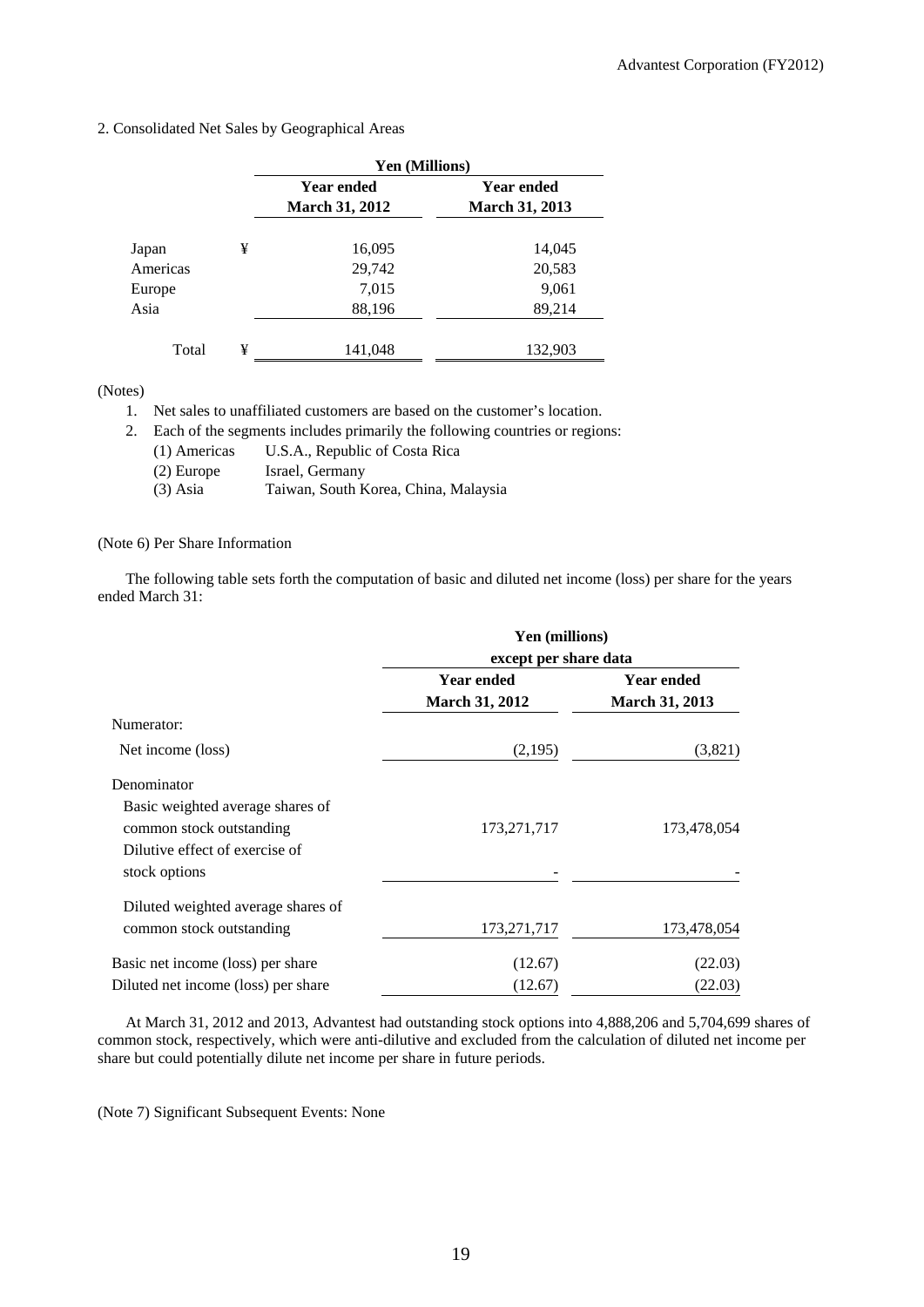2. Consolidated Net Sales by Geographical Areas

|          |   | Yen (Millions)        |                       |  |
|----------|---|-----------------------|-----------------------|--|
|          |   | <b>Year ended</b>     | <b>Year ended</b>     |  |
|          |   | <b>March 31, 2012</b> | <b>March 31, 2013</b> |  |
| Japan    | ¥ | 16,095                | 14,045                |  |
| Americas |   | 29,742                | 20,583                |  |
| Europe   |   | 7,015                 | 9,061                 |  |
| Asia     |   | 88,196                | 89,214                |  |
| Total    | ¥ | 141,048               | 132,903               |  |

(Notes)

1. Net sales to unaffiliated customers are based on the customer's location.

2. Each of the segments includes primarily the following countries or regions:

- (1) Americas U.S.A., Republic of Costa Rica
- (2) Europe Israel, Germany
- (3) Asia Taiwan, South Korea, China, Malaysia

#### (Note 6) Per Share Information

The following table sets forth the computation of basic and diluted net income (loss) per share for the years ended March 31:

|                                     | Yen (millions)        |                       |  |  |  |
|-------------------------------------|-----------------------|-----------------------|--|--|--|
|                                     | except per share data |                       |  |  |  |
|                                     | <b>Year ended</b>     | <b>Year ended</b>     |  |  |  |
|                                     | <b>March 31, 2012</b> | <b>March 31, 2013</b> |  |  |  |
| Numerator:                          |                       |                       |  |  |  |
| Net income (loss)                   | (2,195)               | (3,821)               |  |  |  |
| Denominator                         |                       |                       |  |  |  |
| Basic weighted average shares of    |                       |                       |  |  |  |
| common stock outstanding            | 173,271,717           | 173,478,054           |  |  |  |
| Dilutive effect of exercise of      |                       |                       |  |  |  |
| stock options                       |                       |                       |  |  |  |
| Diluted weighted average shares of  |                       |                       |  |  |  |
| common stock outstanding            | 173,271,717           | 173,478,054           |  |  |  |
| Basic net income (loss) per share   | (12.67)               | (22.03)               |  |  |  |
| Diluted net income (loss) per share | (12.67)               | (22.03)               |  |  |  |

At March 31, 2012 and 2013, Advantest had outstanding stock options into 4,888,206 and 5,704,699 shares of common stock, respectively, which were anti-dilutive and excluded from the calculation of diluted net income per share but could potentially dilute net income per share in future periods.

(Note 7) Significant Subsequent Events: None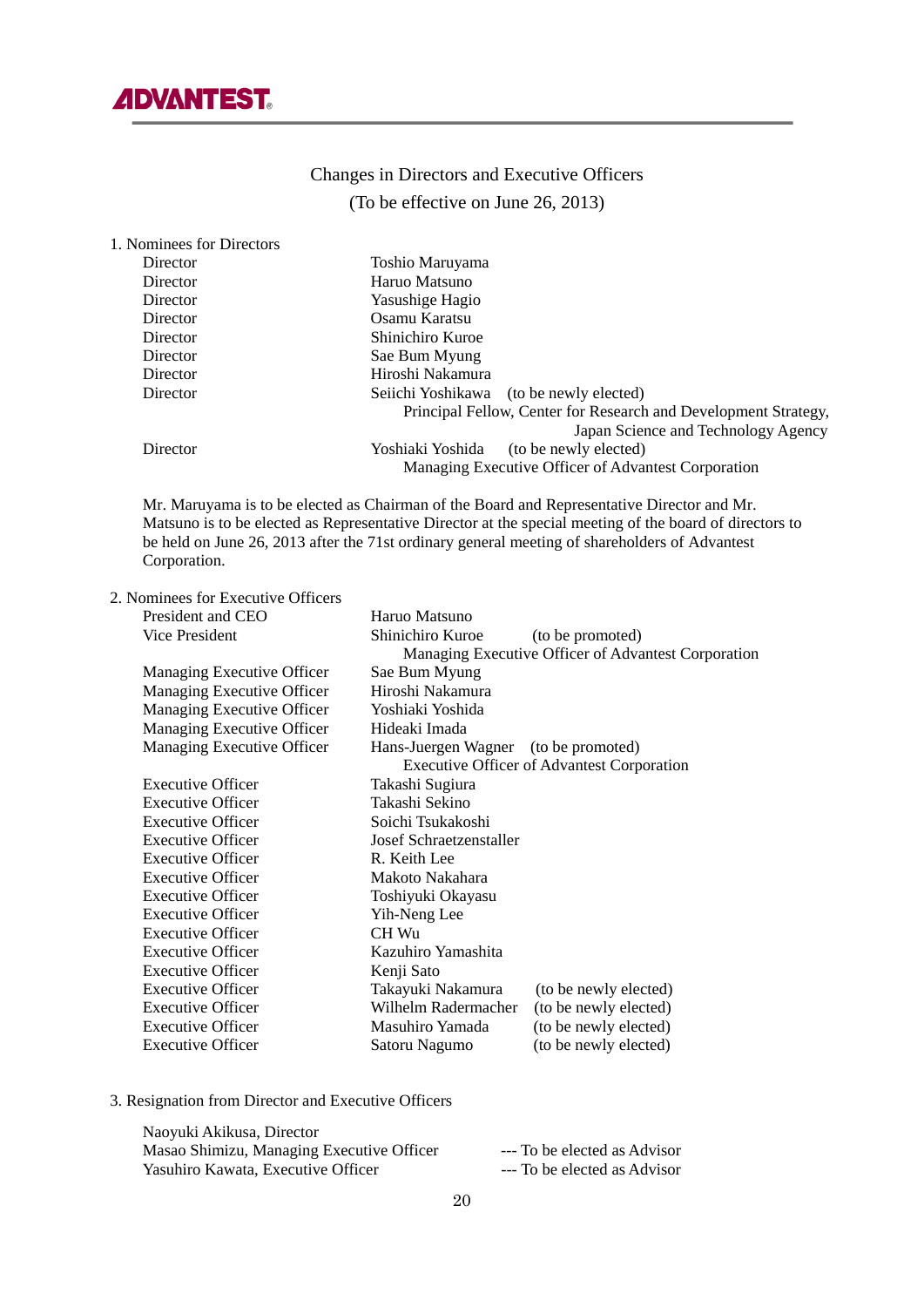

# Changes in Directors and Executive Officers (To be effective on June 26, 2013)

| 1. Nominees for Directors |                                                                 |
|---------------------------|-----------------------------------------------------------------|
| Director                  | Toshio Maruyama                                                 |
| Director                  | Haruo Matsuno                                                   |
| Director                  | Yasushige Hagio                                                 |
| Director                  | Osamu Karatsu                                                   |
| Director                  | Shinichiro Kuroe                                                |
| Director                  | Sae Bum Myung                                                   |
| Director                  | Hiroshi Nakamura                                                |
| Director                  | (to be newly elected)<br>Seiichi Yoshikawa                      |
|                           | Principal Fellow, Center for Research and Development Strategy, |
|                           | Japan Science and Technology Agency                             |
| Director                  | Yoshiaki Yoshida<br>(to be newly elected)                       |
|                           | Managing Executive Officer of Advantest Corporation             |

Mr. Maruyama is to be elected as Chairman of the Board and Representative Director and Mr. Matsuno is to be elected as Representative Director at the special meeting of the board of directors to be held on June 26, 2013 after the 71st ordinary general meeting of shareholders of Advantest Corporation.

2. Nominees for Executive Officers

| President and CEO          | Haruo Matsuno                        |                                                     |
|----------------------------|--------------------------------------|-----------------------------------------------------|
| <b>Vice President</b>      | Shinichiro Kuroe                     | (to be promoted)                                    |
|                            |                                      | Managing Executive Officer of Advantest Corporation |
| Managing Executive Officer | Sae Bum Myung                        |                                                     |
| Managing Executive Officer | Hiroshi Nakamura                     |                                                     |
| Managing Executive Officer | Yoshiaki Yoshida                     |                                                     |
| Managing Executive Officer | Hideaki Imada                        |                                                     |
| Managing Executive Officer | Hans-Juergen Wagner (to be promoted) |                                                     |
|                            |                                      | <b>Executive Officer of Advantest Corporation</b>   |
| <b>Executive Officer</b>   | Takashi Sugiura                      |                                                     |
| <b>Executive Officer</b>   | Takashi Sekino                       |                                                     |
| Executive Officer          | Soichi Tsukakoshi                    |                                                     |
| <b>Executive Officer</b>   | Josef Schraetzenstaller              |                                                     |
| <b>Executive Officer</b>   | R. Keith Lee                         |                                                     |
| <b>Executive Officer</b>   | Makoto Nakahara                      |                                                     |
| <b>Executive Officer</b>   | Toshiyuki Okayasu                    |                                                     |
| <b>Executive Officer</b>   | Yih-Neng Lee                         |                                                     |
| <b>Executive Officer</b>   | CH Wu                                |                                                     |
| <b>Executive Officer</b>   | Kazuhiro Yamashita                   |                                                     |
| <b>Executive Officer</b>   | Kenji Sato                           |                                                     |
| <b>Executive Officer</b>   | Takayuki Nakamura                    | (to be newly elected)                               |
| <b>Executive Officer</b>   | Wilhelm Radermacher                  | (to be newly elected)                               |
| <b>Executive Officer</b>   | Masuhiro Yamada                      | (to be newly elected)                               |
| <b>Executive Officer</b>   | Satoru Nagumo                        | (to be newly elected)                               |
|                            |                                      |                                                     |

3. Resignation from Director and Executive Officers

| Naoyuki Akikusa, Director                 |                              |
|-------------------------------------------|------------------------------|
| Masao Shimizu, Managing Executive Officer | --- To be elected as Advisor |
| Yasuhiro Kawata, Executive Officer        | --- To be elected as Advisor |